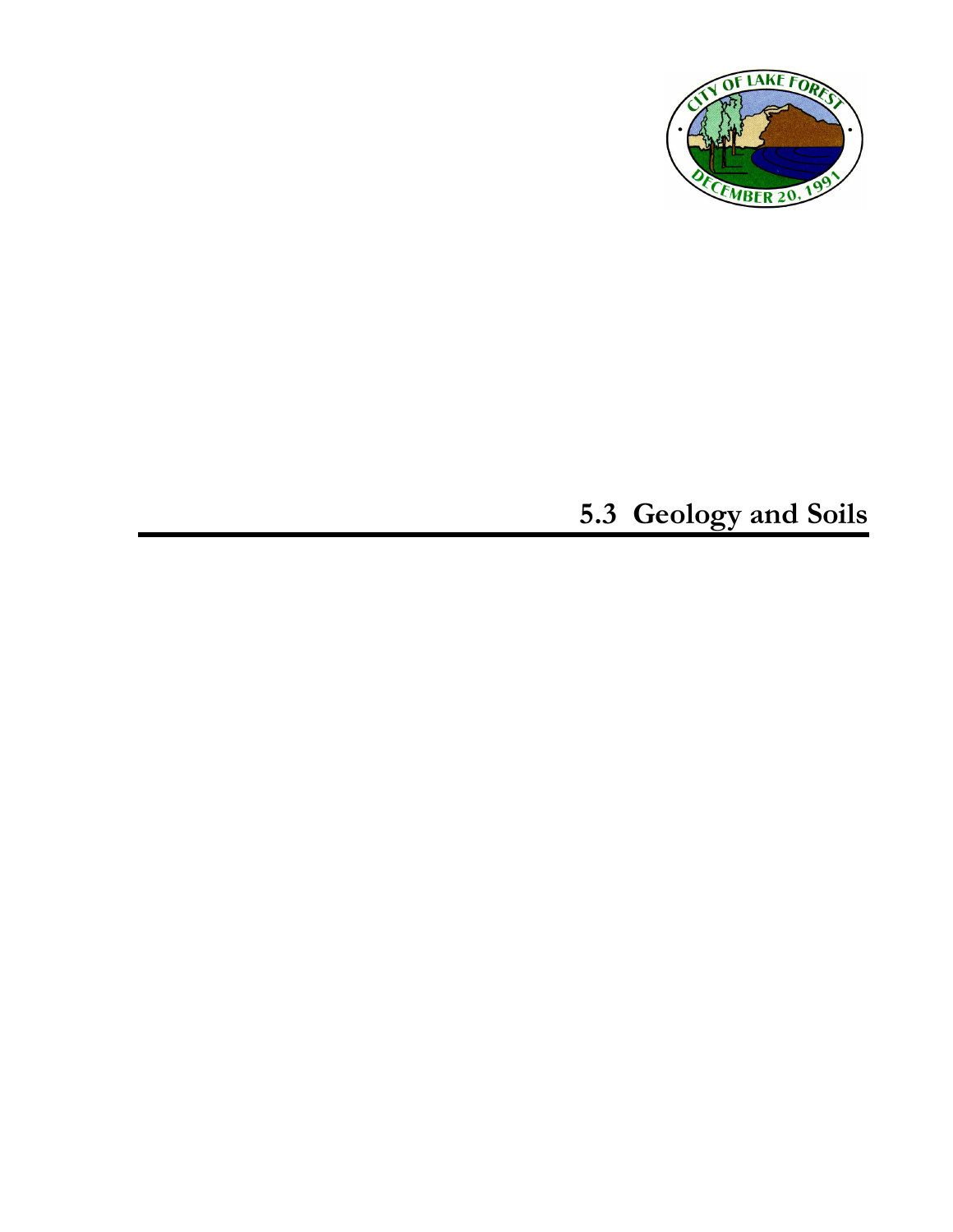

# **5.3 Geology and Soils**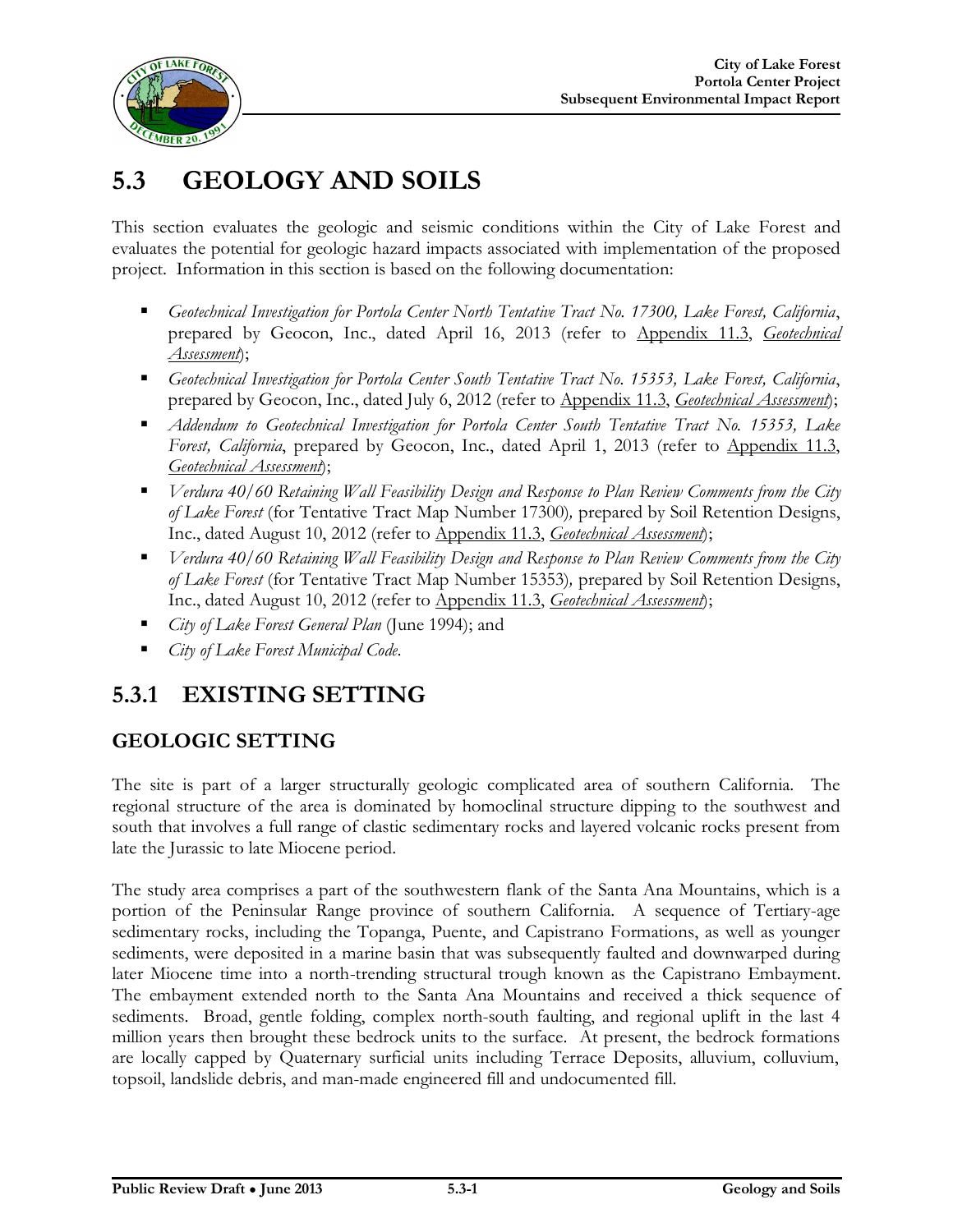

# **5.3 GEOLOGY AND SOILS**

This section evaluates the geologic and seismic conditions within the City of Lake Forest and evaluates the potential for geologic hazard impacts associated with implementation of the proposed project. Information in this section is based on the following documentation:

- *Geotechnical Investigation for Portola Center North Tentative Tract No. 17300, Lake Forest, California*, prepared by Geocon, Inc., dated April 16, 2013 (refer to Appendix 11.3, *Geotechnical Assessment*);
- *Geotechnical Investigation for Portola Center South Tentative Tract No. 15353, Lake Forest, California*, prepared by Geocon, Inc., dated July 6, 2012 (refer to Appendix 11.3, *Geotechnical Assessment*);
- *Addendum to Geotechnical Investigation for Portola Center South Tentative Tract No. 15353, Lake Forest, California*, prepared by Geocon, Inc., dated April 1, 2013 (refer to Appendix 11.3, *Geotechnical Assessment*);
- *Verdura 40/60 Retaining Wall Feasibility Design and Response to Plan Review Comments from the City of Lake Forest* (for Tentative Tract Map Number 17300)*,* prepared by Soil Retention Designs, Inc., dated August 10, 2012 (refer to Appendix 11.3, *Geotechnical Assessment*);
- *Verdura 40/60 Retaining Wall Feasibility Design and Response to Plan Review Comments from the City of Lake Forest* (for Tentative Tract Map Number 15353)*,* prepared by Soil Retention Designs, Inc., dated August 10, 2012 (refer to Appendix 11.3, *Geotechnical Assessment*);
- *City of Lake Forest General Plan* (June 1994); and
- *City of Lake Forest Municipal Code*.

# **5.3.1 EXISTING SETTING**

### **GEOLOGIC SETTING**

The site is part of a larger structurally geologic complicated area of southern California. The regional structure of the area is dominated by homoclinal structure dipping to the southwest and south that involves a full range of clastic sedimentary rocks and layered volcanic rocks present from late the Jurassic to late Miocene period.

The study area comprises a part of the southwestern flank of the Santa Ana Mountains, which is a portion of the Peninsular Range province of southern California. A sequence of Tertiary-age sedimentary rocks, including the Topanga, Puente, and Capistrano Formations, as well as younger sediments, were deposited in a marine basin that was subsequently faulted and downwarped during later Miocene time into a north-trending structural trough known as the Capistrano Embayment. The embayment extended north to the Santa Ana Mountains and received a thick sequence of sediments. Broad, gentle folding, complex north-south faulting, and regional uplift in the last 4 million years then brought these bedrock units to the surface. At present, the bedrock formations are locally capped by Quaternary surficial units including Terrace Deposits, alluvium, colluvium, topsoil, landslide debris, and man-made engineered fill and undocumented fill.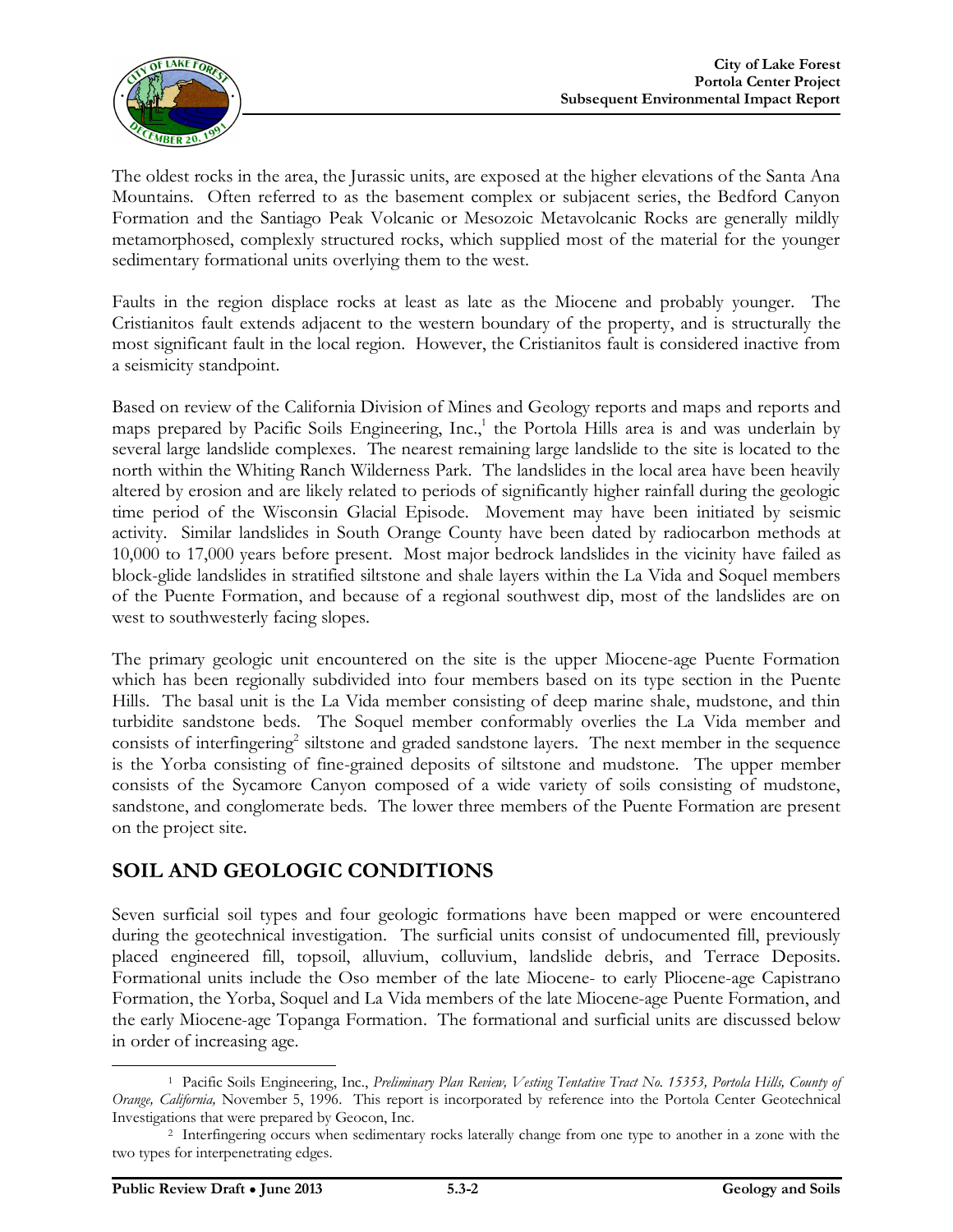

The oldest rocks in the area, the Jurassic units, are exposed at the higher elevations of the Santa Ana Mountains. Often referred to as the basement complex or subjacent series, the Bedford Canyon Formation and the Santiago Peak Volcanic or Mesozoic Metavolcanic Rocks are generally mildly metamorphosed, complexly structured rocks, which supplied most of the material for the younger sedimentary formational units overlying them to the west.

Faults in the region displace rocks at least as late as the Miocene and probably younger. The Cristianitos fault extends adjacent to the western boundary of the property, and is structurally the most significant fault in the local region. However, the Cristianitos fault is considered inactive from a seismicity standpoint.

Based on review of the California Division of Mines and Geology reports and maps and reports and maps prepared by Pacific Soils Engineering, Inc., 1 the Portola Hills area is and was underlain by several large landslide complexes. The nearest remaining large landslide to the site is located to the north within the Whiting Ranch Wilderness Park. The landslides in the local area have been heavily altered by erosion and are likely related to periods of significantly higher rainfall during the geologic time period of the Wisconsin Glacial Episode. Movement may have been initiated by seismic activity. Similar landslides in South Orange County have been dated by radiocarbon methods at 10,000 to 17,000 years before present. Most major bedrock landslides in the vicinity have failed as block-glide landslides in stratified siltstone and shale layers within the La Vida and Soquel members of the Puente Formation, and because of a regional southwest dip, most of the landslides are on west to southwesterly facing slopes.

The primary geologic unit encountered on the site is the upper Miocene-age Puente Formation which has been regionally subdivided into four members based on its type section in the Puente Hills. The basal unit is the La Vida member consisting of deep marine shale, mudstone, and thin turbidite sandstone beds. The Soquel member conformably overlies the La Vida member and consists of interfingering<sup>2</sup> siltstone and graded sandstone layers. The next member in the sequence is the Yorba consisting of fine-grained deposits of siltstone and mudstone. The upper member consists of the Sycamore Canyon composed of a wide variety of soils consisting of mudstone, sandstone, and conglomerate beds. The lower three members of the Puente Formation are present on the project site.

#### **SOIL AND GEOLOGIC CONDITIONS**

Seven surficial soil types and four geologic formations have been mapped or were encountered during the geotechnical investigation. The surficial units consist of undocumented fill, previously placed engineered fill, topsoil, alluvium, colluvium, landslide debris, and Terrace Deposits. Formational units include the Oso member of the late Miocene- to early Pliocene-age Capistrano Formation, the Yorba, Soquel and La Vida members of the late Miocene-age Puente Formation, and the early Miocene-age Topanga Formation. The formational and surficial units are discussed below in order of increasing age.

 <sup>1</sup> Pacific Soils Engineering, Inc., *Preliminary Plan Review, Vesting Tentative Tract No. 15353, Portola Hills, County of Orange, California,* November 5, 1996. This report is incorporated by reference into the Portola Center Geotechnical Investigations that were prepared by Geocon, Inc.

<sup>2</sup> Interfingering occurs when sedimentary rocks laterally change from one type to another in a zone with the two types for interpenetrating edges.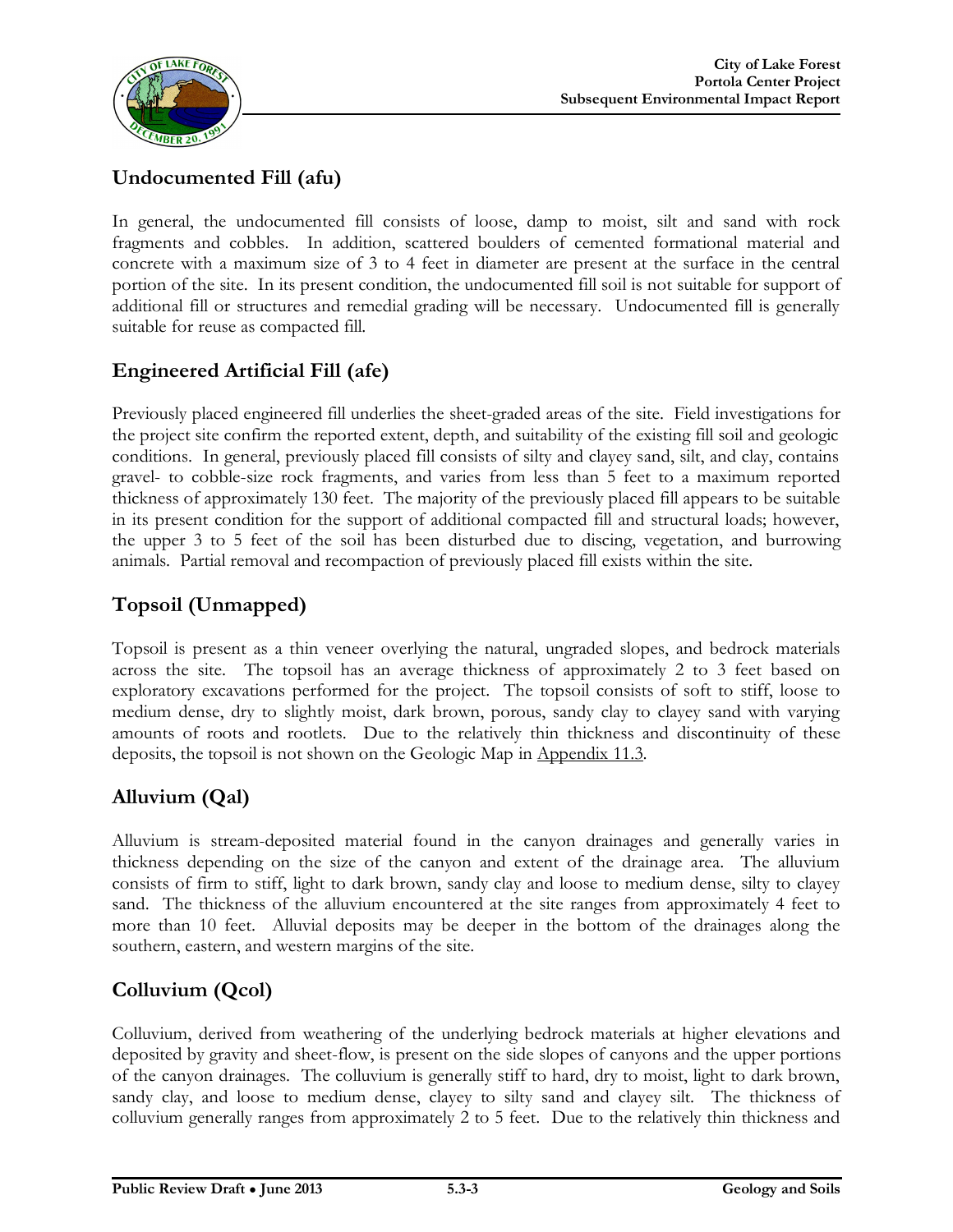

# **Undocumented Fill (afu)**

In general, the undocumented fill consists of loose, damp to moist, silt and sand with rock fragments and cobbles. In addition, scattered boulders of cemented formational material and concrete with a maximum size of 3 to 4 feet in diameter are present at the surface in the central portion of the site. In its present condition, the undocumented fill soil is not suitable for support of additional fill or structures and remedial grading will be necessary. Undocumented fill is generally suitable for reuse as compacted fill.

### **Engineered Artificial Fill (afe)**

Previously placed engineered fill underlies the sheet-graded areas of the site. Field investigations for the project site confirm the reported extent, depth, and suitability of the existing fill soil and geologic conditions. In general, previously placed fill consists of silty and clayey sand, silt, and clay, contains gravel- to cobble-size rock fragments, and varies from less than 5 feet to a maximum reported thickness of approximately 130 feet. The majority of the previously placed fill appears to be suitable in its present condition for the support of additional compacted fill and structural loads; however, the upper 3 to 5 feet of the soil has been disturbed due to discing, vegetation, and burrowing animals. Partial removal and recompaction of previously placed fill exists within the site.

### **Topsoil (Unmapped)**

Topsoil is present as a thin veneer overlying the natural, ungraded slopes, and bedrock materials across the site. The topsoil has an average thickness of approximately 2 to 3 feet based on exploratory excavations performed for the project. The topsoil consists of soft to stiff, loose to medium dense, dry to slightly moist, dark brown, porous, sandy clay to clayey sand with varying amounts of roots and rootlets. Due to the relatively thin thickness and discontinuity of these deposits, the topsoil is not shown on the Geologic Map in Appendix 11.3.

### **Alluvium (Qal)**

Alluvium is stream-deposited material found in the canyon drainages and generally varies in thickness depending on the size of the canyon and extent of the drainage area. The alluvium consists of firm to stiff, light to dark brown, sandy clay and loose to medium dense, silty to clayey sand. The thickness of the alluvium encountered at the site ranges from approximately 4 feet to more than 10 feet. Alluvial deposits may be deeper in the bottom of the drainages along the southern, eastern, and western margins of the site.

#### **Colluvium (Qcol)**

Colluvium, derived from weathering of the underlying bedrock materials at higher elevations and deposited by gravity and sheet-flow, is present on the side slopes of canyons and the upper portions of the canyon drainages. The colluvium is generally stiff to hard, dry to moist, light to dark brown, sandy clay, and loose to medium dense, clayey to silty sand and clayey silt. The thickness of colluvium generally ranges from approximately 2 to 5 feet. Due to the relatively thin thickness and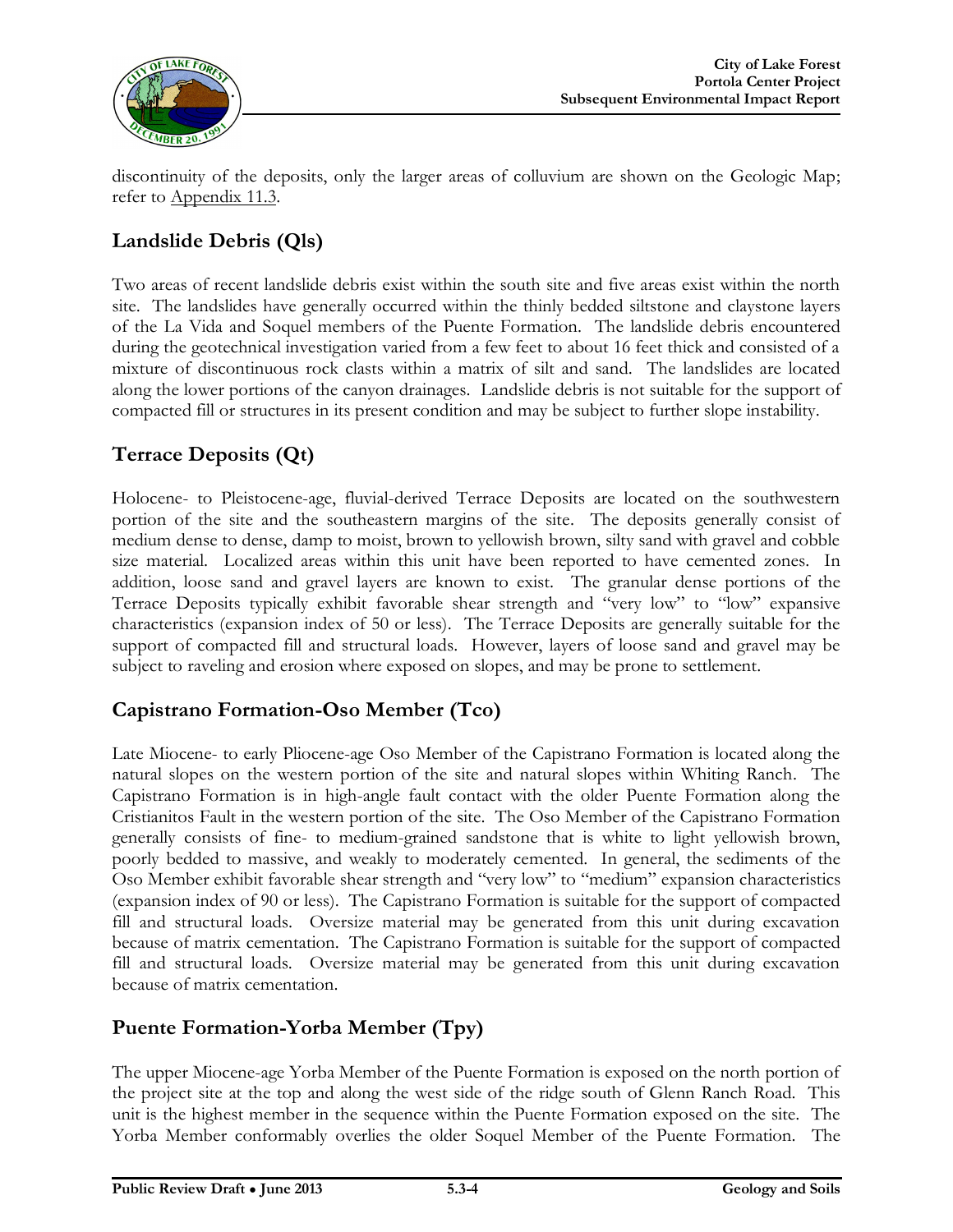

discontinuity of the deposits, only the larger areas of colluvium are shown on the Geologic Map; refer to Appendix 11.3.

### **Landslide Debris (Qls)**

Two areas of recent landslide debris exist within the south site and five areas exist within the north site. The landslides have generally occurred within the thinly bedded siltstone and claystone layers of the La Vida and Soquel members of the Puente Formation. The landslide debris encountered during the geotechnical investigation varied from a few feet to about 16 feet thick and consisted of a mixture of discontinuous rock clasts within a matrix of silt and sand. The landslides are located along the lower portions of the canyon drainages. Landslide debris is not suitable for the support of compacted fill or structures in its present condition and may be subject to further slope instability.

# **Terrace Deposits (Qt)**

Holocene- to Pleistocene-age, fluvial-derived Terrace Deposits are located on the southwestern portion of the site and the southeastern margins of the site. The deposits generally consist of medium dense to dense, damp to moist, brown to yellowish brown, silty sand with gravel and cobble size material. Localized areas within this unit have been reported to have cemented zones. In addition, loose sand and gravel layers are known to exist. The granular dense portions of the Terrace Deposits typically exhibit favorable shear strength and "very low" to "low" expansive characteristics (expansion index of 50 or less). The Terrace Deposits are generally suitable for the support of compacted fill and structural loads. However, layers of loose sand and gravel may be subject to raveling and erosion where exposed on slopes, and may be prone to settlement.

#### **Capistrano Formation-Oso Member (Tco)**

Late Miocene- to early Pliocene-age Oso Member of the Capistrano Formation is located along the natural slopes on the western portion of the site and natural slopes within Whiting Ranch. The Capistrano Formation is in high-angle fault contact with the older Puente Formation along the Cristianitos Fault in the western portion of the site. The Oso Member of the Capistrano Formation generally consists of fine- to medium-grained sandstone that is white to light yellowish brown, poorly bedded to massive, and weakly to moderately cemented. In general, the sediments of the Oso Member exhibit favorable shear strength and "very low" to "medium" expansion characteristics (expansion index of 90 or less). The Capistrano Formation is suitable for the support of compacted fill and structural loads. Oversize material may be generated from this unit during excavation because of matrix cementation. The Capistrano Formation is suitable for the support of compacted fill and structural loads. Oversize material may be generated from this unit during excavation because of matrix cementation.

#### **Puente Formation-Yorba Member (Tpy)**

The upper Miocene-age Yorba Member of the Puente Formation is exposed on the north portion of the project site at the top and along the west side of the ridge south of Glenn Ranch Road. This unit is the highest member in the sequence within the Puente Formation exposed on the site. The Yorba Member conformably overlies the older Soquel Member of the Puente Formation. The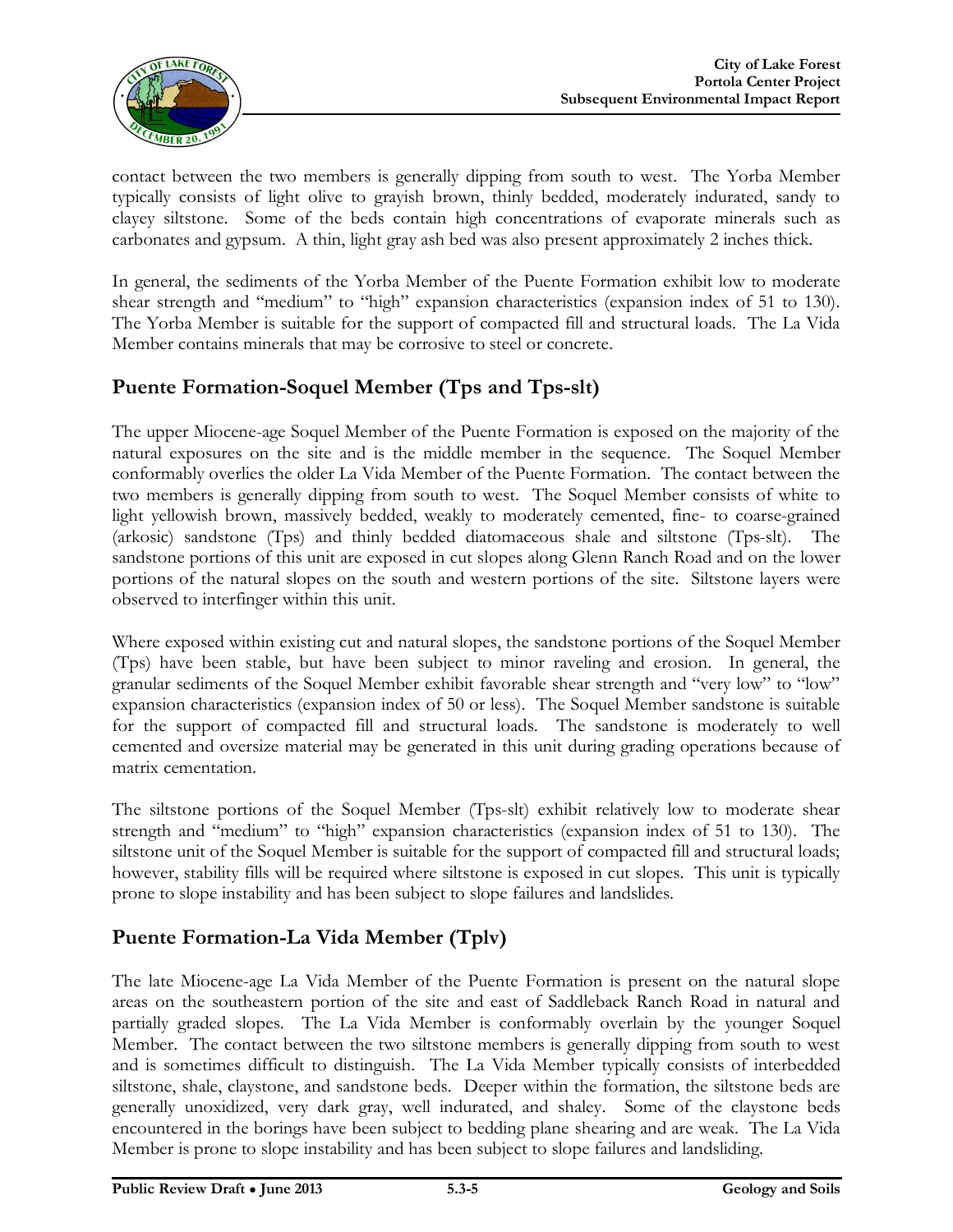

contact between the two members is generally dipping from south to west. The Yorba Member typically consists of light olive to grayish brown, thinly bedded, moderately indurated, sandy to clayey siltstone. Some of the beds contain high concentrations of evaporate minerals such as carbonates and gypsum. A thin, light gray ash bed was also present approximately 2 inches thick.

In general, the sediments of the Yorba Member of the Puente Formation exhibit low to moderate shear strength and "medium" to "high" expansion characteristics (expansion index of 51 to 130). The Yorba Member is suitable for the support of compacted fill and structural loads. The La Vida Member contains minerals that may be corrosive to steel or concrete.

# **Puente Formation-Soquel Member (Tps and Tps-slt)**

The upper Miocene-age Soquel Member of the Puente Formation is exposed on the majority of the natural exposures on the site and is the middle member in the sequence. The Soquel Member conformably overlies the older La Vida Member of the Puente Formation. The contact between the two members is generally dipping from south to west. The Soquel Member consists of white to light yellowish brown, massively bedded, weakly to moderately cemented, fine- to coarse-grained (arkosic) sandstone (Tps) and thinly bedded diatomaceous shale and siltstone (Tps-slt). The sandstone portions of this unit are exposed in cut slopes along Glenn Ranch Road and on the lower portions of the natural slopes on the south and western portions of the site. Siltstone layers were observed to interfinger within this unit.

Where exposed within existing cut and natural slopes, the sandstone portions of the Soquel Member (Tps) have been stable, but have been subject to minor raveling and erosion. In general, the granular sediments of the Soquel Member exhibit favorable shear strength and "very low" to "low" expansion characteristics (expansion index of 50 or less). The Soquel Member sandstone is suitable for the support of compacted fill and structural loads. The sandstone is moderately to well cemented and oversize material may be generated in this unit during grading operations because of matrix cementation.

The siltstone portions of the Soquel Member (Tps-slt) exhibit relatively low to moderate shear strength and "medium" to "high" expansion characteristics (expansion index of 51 to 130). The siltstone unit of the Soquel Member is suitable for the support of compacted fill and structural loads; however, stability fills will be required where siltstone is exposed in cut slopes. This unit is typically prone to slope instability and has been subject to slope failures and landslides.

### **Puente Formation-La Vida Member (Tplv)**

The late Miocene-age La Vida Member of the Puente Formation is present on the natural slope areas on the southeastern portion of the site and east of Saddleback Ranch Road in natural and partially graded slopes. The La Vida Member is conformably overlain by the younger Soquel Member. The contact between the two siltstone members is generally dipping from south to west and is sometimes difficult to distinguish. The La Vida Member typically consists of interbedded siltstone, shale, claystone, and sandstone beds. Deeper within the formation, the siltstone beds are generally unoxidized, very dark gray, well indurated, and shaley. Some of the claystone beds encountered in the borings have been subject to bedding plane shearing and are weak. The La Vida Member is prone to slope instability and has been subject to slope failures and landsliding.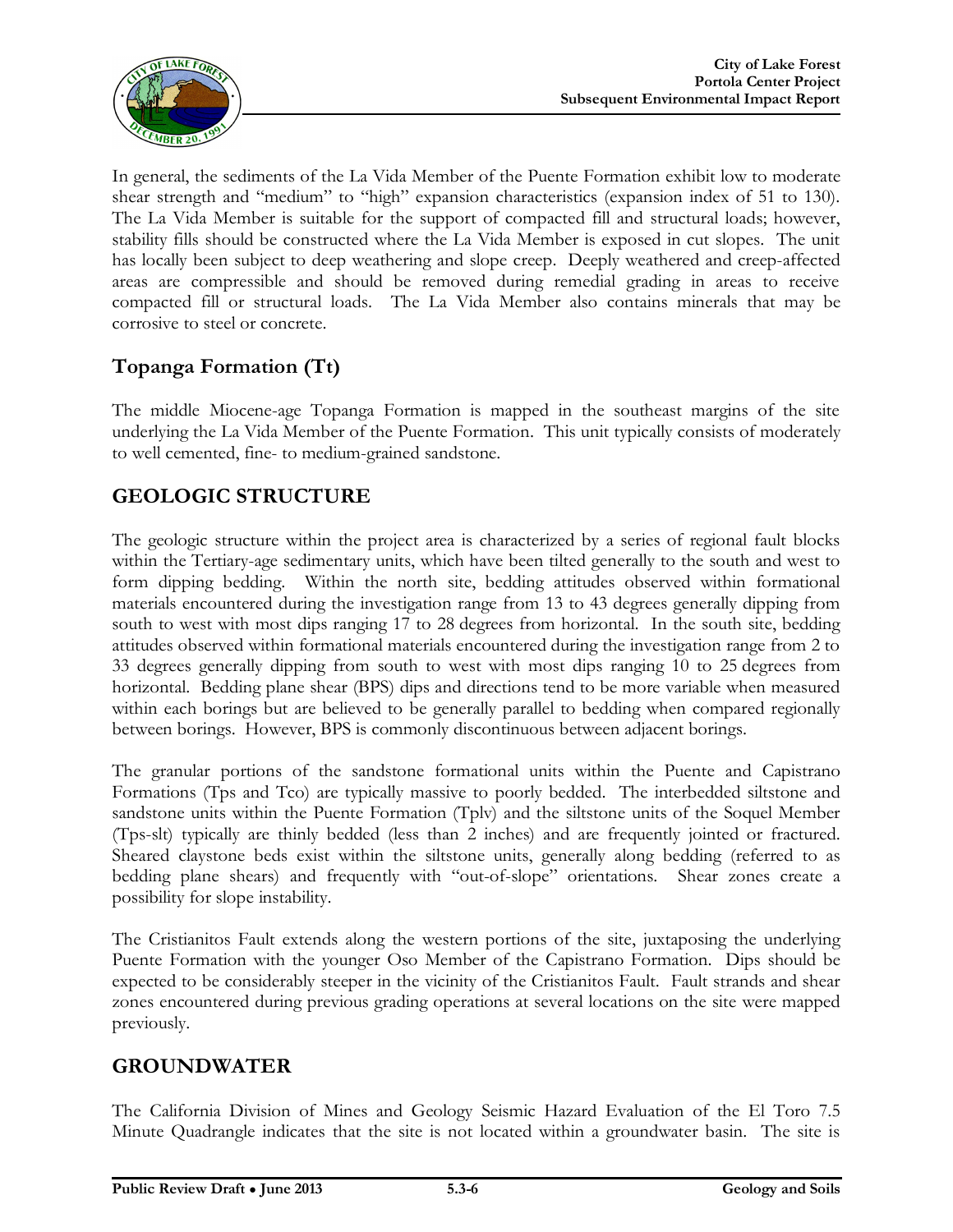

In general, the sediments of the La Vida Member of the Puente Formation exhibit low to moderate shear strength and "medium" to "high" expansion characteristics (expansion index of 51 to 130). The La Vida Member is suitable for the support of compacted fill and structural loads; however, stability fills should be constructed where the La Vida Member is exposed in cut slopes. The unit has locally been subject to deep weathering and slope creep. Deeply weathered and creep-affected areas are compressible and should be removed during remedial grading in areas to receive compacted fill or structural loads. The La Vida Member also contains minerals that may be corrosive to steel or concrete.

# **Topanga Formation (Tt)**

The middle Miocene-age Topanga Formation is mapped in the southeast margins of the site underlying the La Vida Member of the Puente Formation. This unit typically consists of moderately to well cemented, fine- to medium-grained sandstone.

# **GEOLOGIC STRUCTURE**

The geologic structure within the project area is characterized by a series of regional fault blocks within the Tertiary-age sedimentary units, which have been tilted generally to the south and west to form dipping bedding. Within the north site, bedding attitudes observed within formational materials encountered during the investigation range from 13 to 43 degrees generally dipping from south to west with most dips ranging 17 to 28 degrees from horizontal. In the south site, bedding attitudes observed within formational materials encountered during the investigation range from 2 to 33 degrees generally dipping from south to west with most dips ranging 10 to 25 degrees from horizontal. Bedding plane shear (BPS) dips and directions tend to be more variable when measured within each borings but are believed to be generally parallel to bedding when compared regionally between borings. However, BPS is commonly discontinuous between adjacent borings.

The granular portions of the sandstone formational units within the Puente and Capistrano Formations (Tps and Tco) are typically massive to poorly bedded. The interbedded siltstone and sandstone units within the Puente Formation (Tplv) and the siltstone units of the Soquel Member (Tps-slt) typically are thinly bedded (less than 2 inches) and are frequently jointed or fractured. Sheared claystone beds exist within the siltstone units, generally along bedding (referred to as bedding plane shears) and frequently with "out-of-slope" orientations. Shear zones create a possibility for slope instability.

The Cristianitos Fault extends along the western portions of the site, juxtaposing the underlying Puente Formation with the younger Oso Member of the Capistrano Formation. Dips should be expected to be considerably steeper in the vicinity of the Cristianitos Fault. Fault strands and shear zones encountered during previous grading operations at several locations on the site were mapped previously.

### **GROUNDWATER**

The California Division of Mines and Geology Seismic Hazard Evaluation of the El Toro 7.5 Minute Quadrangle indicates that the site is not located within a groundwater basin. The site is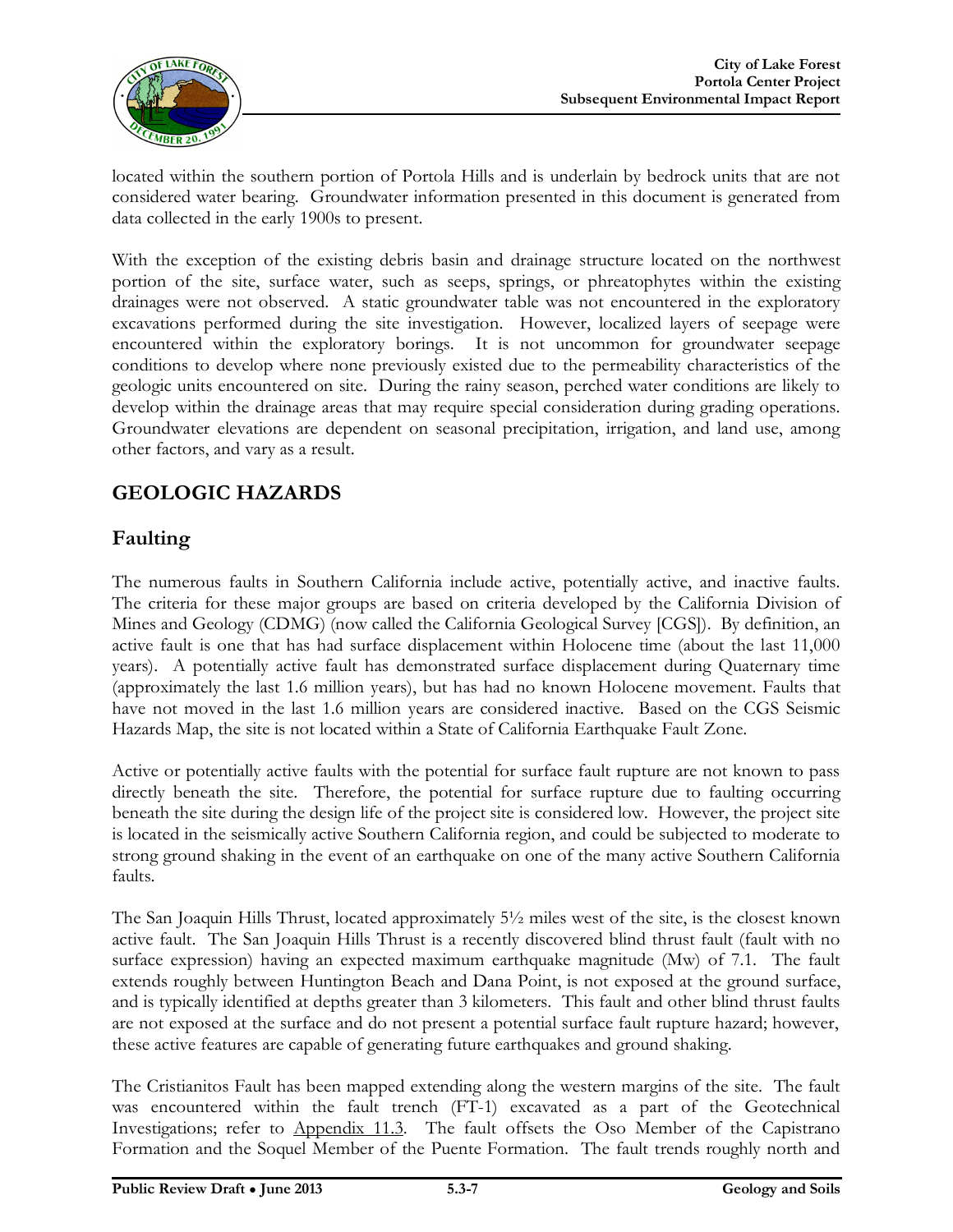

located within the southern portion of Portola Hills and is underlain by bedrock units that are not considered water bearing. Groundwater information presented in this document is generated from data collected in the early 1900s to present.

With the exception of the existing debris basin and drainage structure located on the northwest portion of the site, surface water, such as seeps, springs, or phreatophytes within the existing drainages were not observed. A static groundwater table was not encountered in the exploratory excavations performed during the site investigation. However, localized layers of seepage were encountered within the exploratory borings. It is not uncommon for groundwater seepage conditions to develop where none previously existed due to the permeability characteristics of the geologic units encountered on site. During the rainy season, perched water conditions are likely to develop within the drainage areas that may require special consideration during grading operations. Groundwater elevations are dependent on seasonal precipitation, irrigation, and land use, among other factors, and vary as a result.

### **GEOLOGIC HAZARDS**

#### **Faulting**

The numerous faults in Southern California include active, potentially active, and inactive faults. The criteria for these major groups are based on criteria developed by the California Division of Mines and Geology (CDMG) (now called the California Geological Survey [CGS]). By definition, an active fault is one that has had surface displacement within Holocene time (about the last 11,000 years). A potentially active fault has demonstrated surface displacement during Quaternary time (approximately the last 1.6 million years), but has had no known Holocene movement. Faults that have not moved in the last 1.6 million years are considered inactive. Based on the CGS Seismic Hazards Map, the site is not located within a State of California Earthquake Fault Zone.

Active or potentially active faults with the potential for surface fault rupture are not known to pass directly beneath the site. Therefore, the potential for surface rupture due to faulting occurring beneath the site during the design life of the project site is considered low. However, the project site is located in the seismically active Southern California region, and could be subjected to moderate to strong ground shaking in the event of an earthquake on one of the many active Southern California faults.

The San Joaquin Hills Thrust, located approximately 5½ miles west of the site, is the closest known active fault. The San Joaquin Hills Thrust is a recently discovered blind thrust fault (fault with no surface expression) having an expected maximum earthquake magnitude (Mw) of 7.1. The fault extends roughly between Huntington Beach and Dana Point, is not exposed at the ground surface, and is typically identified at depths greater than 3 kilometers. This fault and other blind thrust faults are not exposed at the surface and do not present a potential surface fault rupture hazard; however, these active features are capable of generating future earthquakes and ground shaking.

The Cristianitos Fault has been mapped extending along the western margins of the site. The fault was encountered within the fault trench (FT-1) excavated as a part of the Geotechnical Investigations; refer to Appendix 11.3. The fault offsets the Oso Member of the Capistrano Formation and the Soquel Member of the Puente Formation. The fault trends roughly north and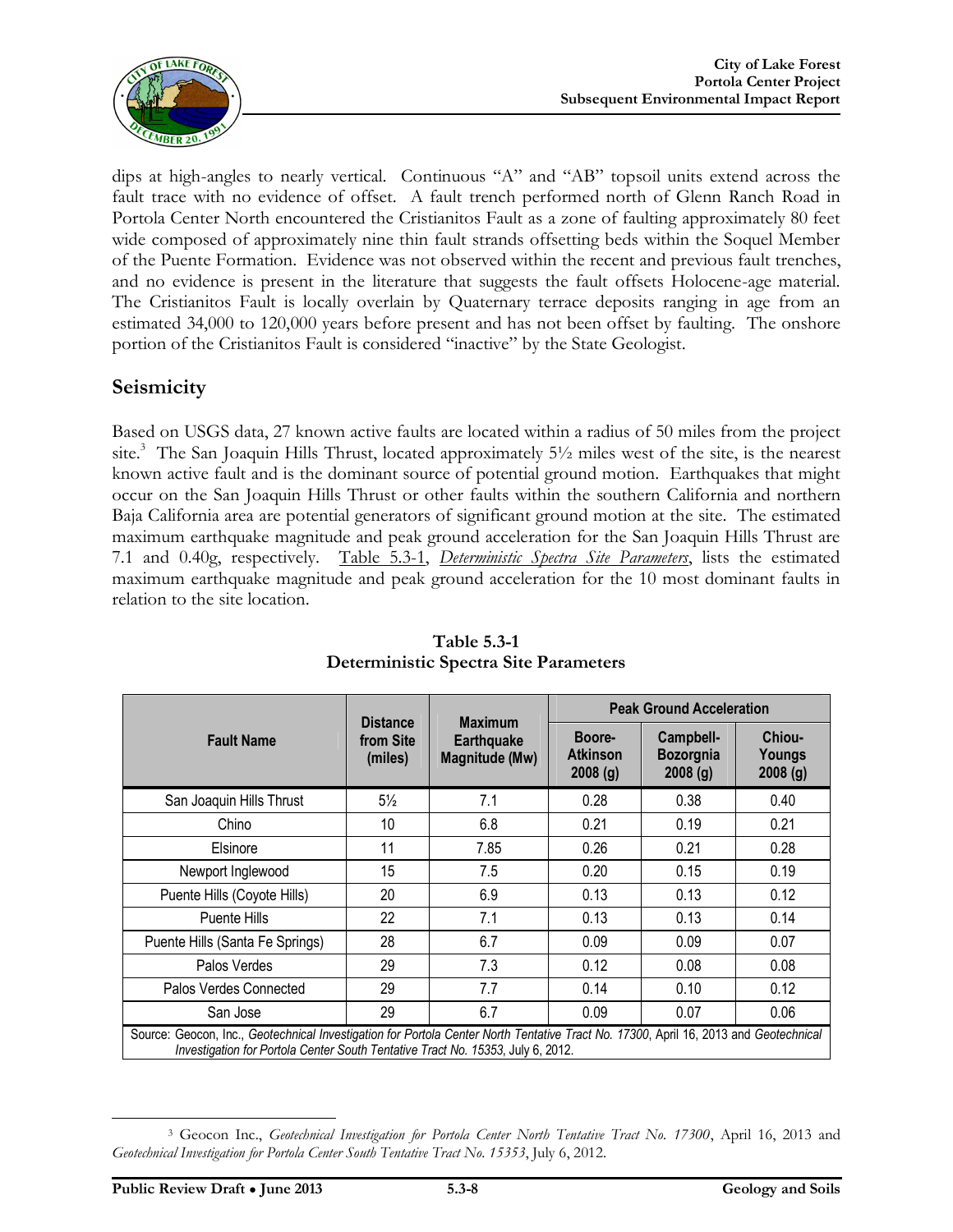

dips at high-angles to nearly vertical. Continuous "A" and "AB" topsoil units extend across the fault trace with no evidence of offset. A fault trench performed north of Glenn Ranch Road in Portola Center North encountered the Cristianitos Fault as a zone of faulting approximately 80 feet wide composed of approximately nine thin fault strands offsetting beds within the Soquel Member of the Puente Formation. Evidence was not observed within the recent and previous fault trenches, and no evidence is present in the literature that suggests the fault offsets Holocene-age material. The Cristianitos Fault is locally overlain by Quaternary terrace deposits ranging in age from an estimated 34,000 to 120,000 years before present and has not been offset by faulting. The onshore portion of the Cristianitos Fault is considered "inactive" by the State Geologist.

#### **Seismicity**

Based on USGS data, 27 known active faults are located within a radius of 50 miles from the project site. <sup>3</sup> The San Joaquin Hills Thrust, located approximately 5½ miles west of the site, is the nearest known active fault and is the dominant source of potential ground motion. Earthquakes that might occur on the San Joaquin Hills Thrust or other faults within the southern California and northern Baja California area are potential generators of significant ground motion at the site. The estimated maximum earthquake magnitude and peak ground acceleration for the San Joaquin Hills Thrust are 7.1 and 0.40g, respectively. Table 5.3-1, *Deterministic Spectra Site Parameters*, lists the estimated maximum earthquake magnitude and peak ground acceleration for the 10 most dominant faults in relation to the site location.

|                                                                                                                                                                                                                         | <b>Distance</b><br>from Site<br>(miles) | <b>Maximum</b><br><b>Earthquake</b><br>Magnitude (Mw) | <b>Peak Ground Acceleration</b>      |                                          |                             |
|-------------------------------------------------------------------------------------------------------------------------------------------------------------------------------------------------------------------------|-----------------------------------------|-------------------------------------------------------|--------------------------------------|------------------------------------------|-----------------------------|
| <b>Fault Name</b>                                                                                                                                                                                                       |                                         |                                                       | Boore-<br><b>Atkinson</b><br>2008(g) | Campbell-<br><b>Bozorgnia</b><br>2008(g) | Chiou-<br>Youngs<br>2008(g) |
| San Joaquin Hills Thrust                                                                                                                                                                                                | $5\frac{1}{2}$                          | 7.1                                                   | 0.28                                 | 0.38                                     | 0.40                        |
| Chino                                                                                                                                                                                                                   | 10                                      | 6.8                                                   | 0.21                                 | 0.19                                     | 0.21                        |
| Elsinore                                                                                                                                                                                                                | 11                                      | 7.85                                                  | 0.26                                 | 0.21                                     | 0.28                        |
| Newport Inglewood                                                                                                                                                                                                       | 15                                      | 7.5                                                   | 0.20                                 | 0.15                                     | 0.19                        |
| Puente Hills (Coyote Hills)                                                                                                                                                                                             | 20                                      | 6.9                                                   | 0.13                                 | 0.13                                     | 0.12                        |
| Puente Hills                                                                                                                                                                                                            | 22                                      | 7.1                                                   | 0.13                                 | 0.13                                     | 0.14                        |
| Puente Hills (Santa Fe Springs)                                                                                                                                                                                         | 28                                      | 6.7                                                   | 0.09                                 | 0.09                                     | 0.07                        |
| Palos Verdes                                                                                                                                                                                                            | 29                                      | 7.3                                                   | 0.12                                 | 0.08                                     | 0.08                        |
| Palos Verdes Connected                                                                                                                                                                                                  | 29                                      | 7.7                                                   | 0.14                                 | 0.10                                     | 0.12                        |
| San Jose                                                                                                                                                                                                                | 29                                      | 6.7                                                   | 0.09                                 | 0.07                                     | 0.06                        |
| Source: Geocon, Inc., Geotechnical Investigation for Portola Center North Tentative Tract No. 17300, April 16, 2013 and Geotechnical<br>Investigation for Portola Center South Tentative Tract No. 15353, July 6, 2012. |                                         |                                                       |                                      |                                          |                             |

**Table 5.3-1 Deterministic Spectra Site Parameters**

 $\overline{a}$ 

<sup>3</sup> Geocon Inc., *Geotechnical Investigation for Portola Center North Tentative Tract No. 17300*, April 16, 2013 and *Geotechnical Investigation for Portola Center South Tentative Tract No. 15353*, July 6, 2012.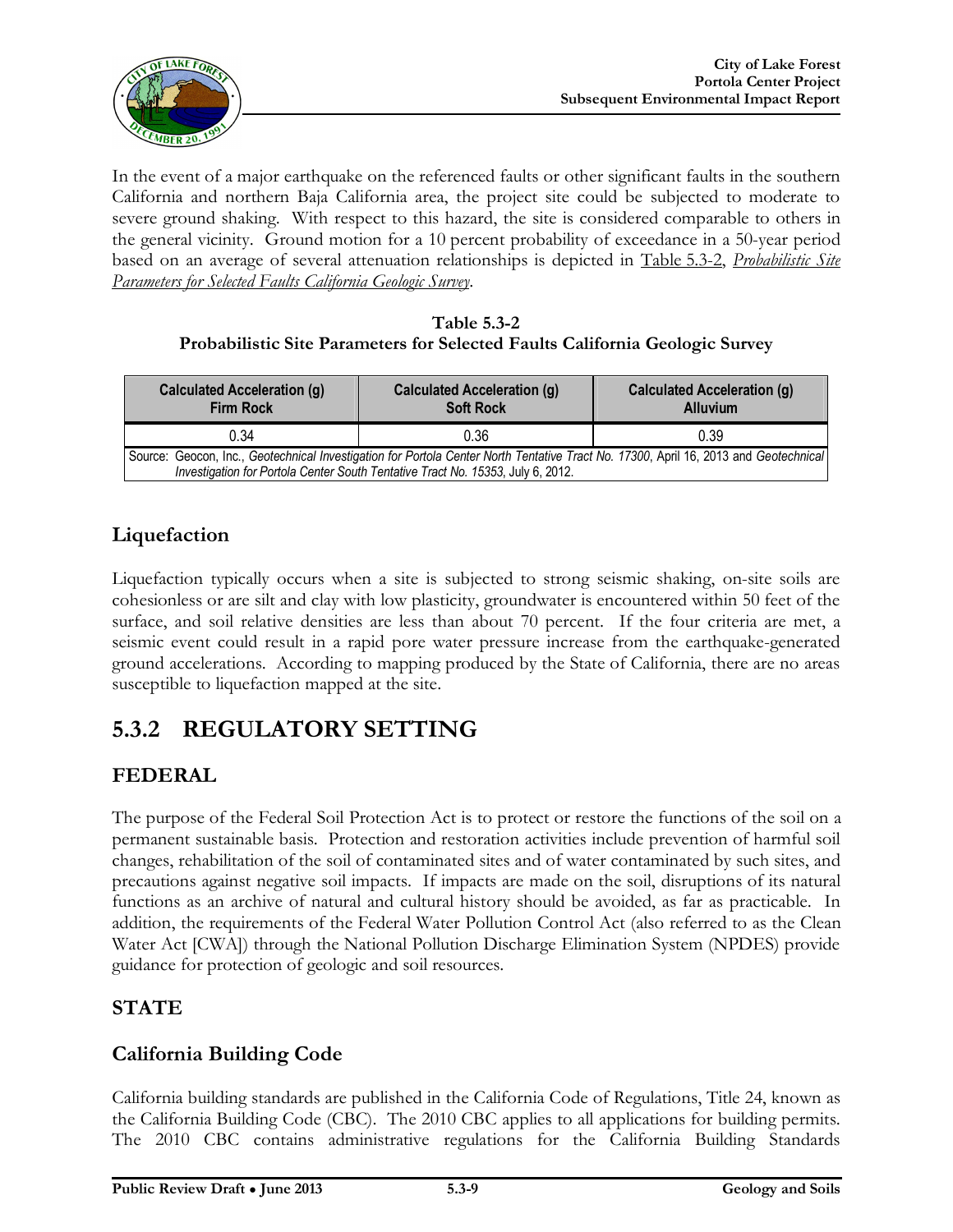

In the event of a major earthquake on the referenced faults or other significant faults in the southern California and northern Baja California area, the project site could be subjected to moderate to severe ground shaking. With respect to this hazard, the site is considered comparable to others in the general vicinity. Ground motion for a 10 percent probability of exceedance in a 50-year period based on an average of several attenuation relationships is depicted in Table 5.3-2, *Probabilistic Site Parameters for Selected Faults California Geologic Survey*.

#### **Table 5.3-2 Probabilistic Site Parameters for Selected Faults California Geologic Survey**

|                                                                                                                                                                                                                         | <b>Alluvium</b>  |  |  |  |
|-------------------------------------------------------------------------------------------------------------------------------------------------------------------------------------------------------------------------|------------------|--|--|--|
| 0.36                                                                                                                                                                                                                    | 0.39             |  |  |  |
| Source: Geocon, Inc., Geotechnical Investigation for Portola Center North Tentative Tract No. 17300, April 16, 2013 and Geotechnical<br>Investigation for Portola Center South Tentative Tract No. 15353, July 6, 2012. |                  |  |  |  |
|                                                                                                                                                                                                                         | <b>Soft Rock</b> |  |  |  |

### **Liquefaction**

Liquefaction typically occurs when a site is subjected to strong seismic shaking, on-site soils are cohesionless or are silt and clay with low plasticity, groundwater is encountered within 50 feet of the surface, and soil relative densities are less than about 70 percent. If the four criteria are met, a seismic event could result in a rapid pore water pressure increase from the earthquake-generated ground accelerations. According to mapping produced by the State of California, there are no areas susceptible to liquefaction mapped at the site.

# **5.3.2 REGULATORY SETTING**

# **FEDERAL**

The purpose of the Federal Soil Protection Act is to protect or restore the functions of the soil on a permanent sustainable basis. Protection and restoration activities include prevention of harmful soil changes, rehabilitation of the soil of contaminated sites and of water contaminated by such sites, and precautions against negative soil impacts. If impacts are made on the soil, disruptions of its natural functions as an archive of natural and cultural history should be avoided, as far as practicable. In addition, the requirements of the Federal Water Pollution Control Act (also referred to as the Clean Water Act [CWA]) through the National Pollution Discharge Elimination System (NPDES) provide guidance for protection of geologic and soil resources.

### **STATE**

### **California Building Code**

California building standards are published in the California Code of Regulations, Title 24, known as the California Building Code (CBC). The 2010 CBC applies to all applications for building permits. The 2010 CBC contains administrative regulations for the California Building Standards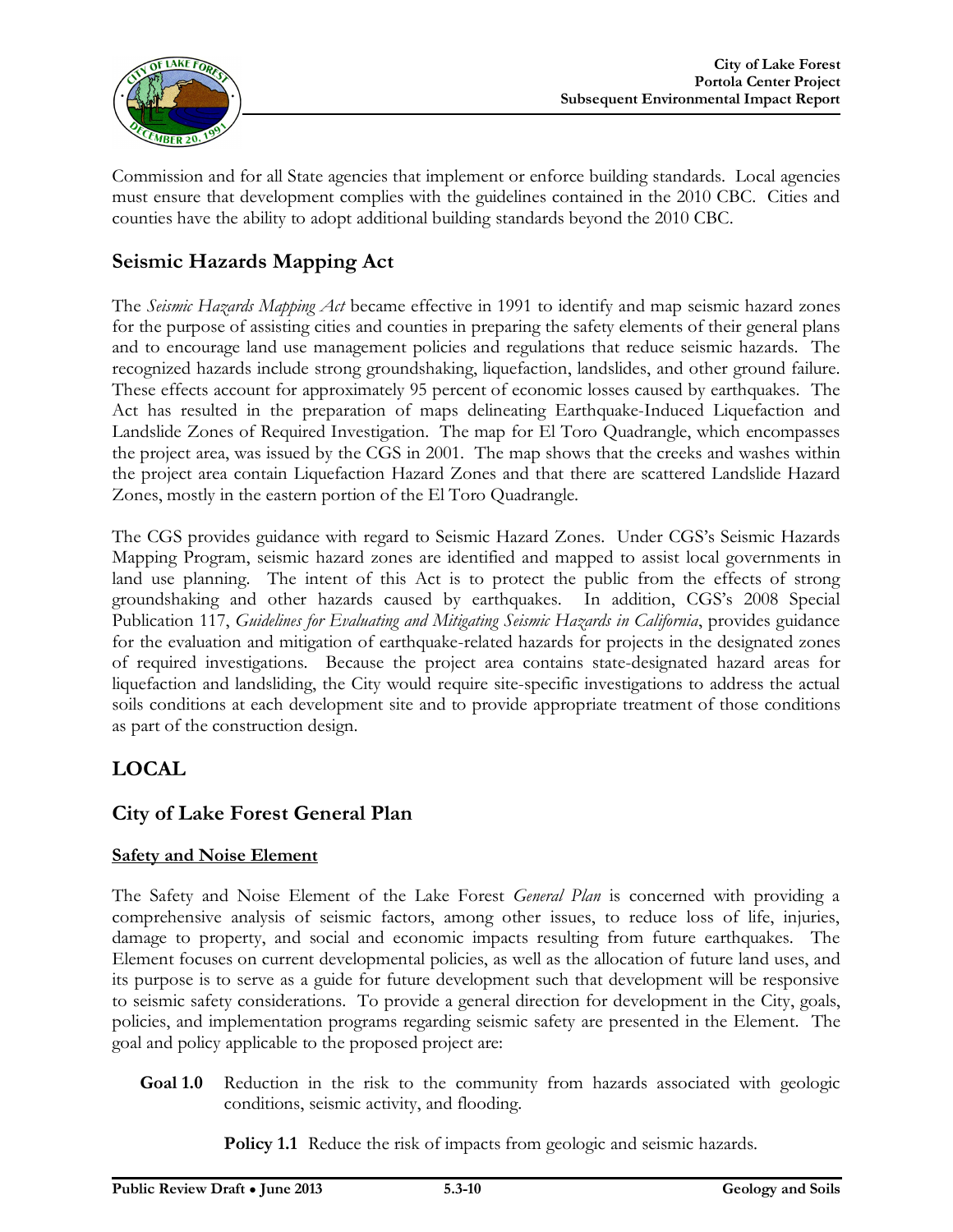

Commission and for all State agencies that implement or enforce building standards. Local agencies must ensure that development complies with the guidelines contained in the 2010 CBC. Cities and counties have the ability to adopt additional building standards beyond the 2010 CBC.

#### **Seismic Hazards Mapping Act**

The *Seismic Hazards Mapping Act* became effective in 1991 to identify and map seismic hazard zones for the purpose of assisting cities and counties in preparing the safety elements of their general plans and to encourage land use management policies and regulations that reduce seismic hazards. The recognized hazards include strong groundshaking, liquefaction, landslides, and other ground failure. These effects account for approximately 95 percent of economic losses caused by earthquakes. The Act has resulted in the preparation of maps delineating Earthquake-Induced Liquefaction and Landslide Zones of Required Investigation. The map for El Toro Quadrangle, which encompasses the project area, was issued by the CGS in 2001. The map shows that the creeks and washes within the project area contain Liquefaction Hazard Zones and that there are scattered Landslide Hazard Zones, mostly in the eastern portion of the El Toro Quadrangle.

The CGS provides guidance with regard to Seismic Hazard Zones. Under CGS's Seismic Hazards Mapping Program, seismic hazard zones are identified and mapped to assist local governments in land use planning. The intent of this Act is to protect the public from the effects of strong groundshaking and other hazards caused by earthquakes. In addition, CGS's 2008 Special Publication 117, *Guidelines for Evaluating and Mitigating Seismic Hazards in California*, provides guidance for the evaluation and mitigation of earthquake-related hazards for projects in the designated zones of required investigations. Because the project area contains state-designated hazard areas for liquefaction and landsliding, the City would require site-specific investigations to address the actual soils conditions at each development site and to provide appropriate treatment of those conditions as part of the construction design.

#### **LOCAL**

#### **City of Lake Forest General Plan**

#### **Safety and Noise Element**

The Safety and Noise Element of the Lake Forest *General Plan* is concerned with providing a comprehensive analysis of seismic factors, among other issues, to reduce loss of life, injuries, damage to property, and social and economic impacts resulting from future earthquakes. The Element focuses on current developmental policies, as well as the allocation of future land uses, and its purpose is to serve as a guide for future development such that development will be responsive to seismic safety considerations. To provide a general direction for development in the City, goals, policies, and implementation programs regarding seismic safety are presented in the Element. The goal and policy applicable to the proposed project are:

**Goal 1.0** Reduction in the risk to the community from hazards associated with geologic conditions, seismic activity, and flooding.

**Policy 1.1** Reduce the risk of impacts from geologic and seismic hazards.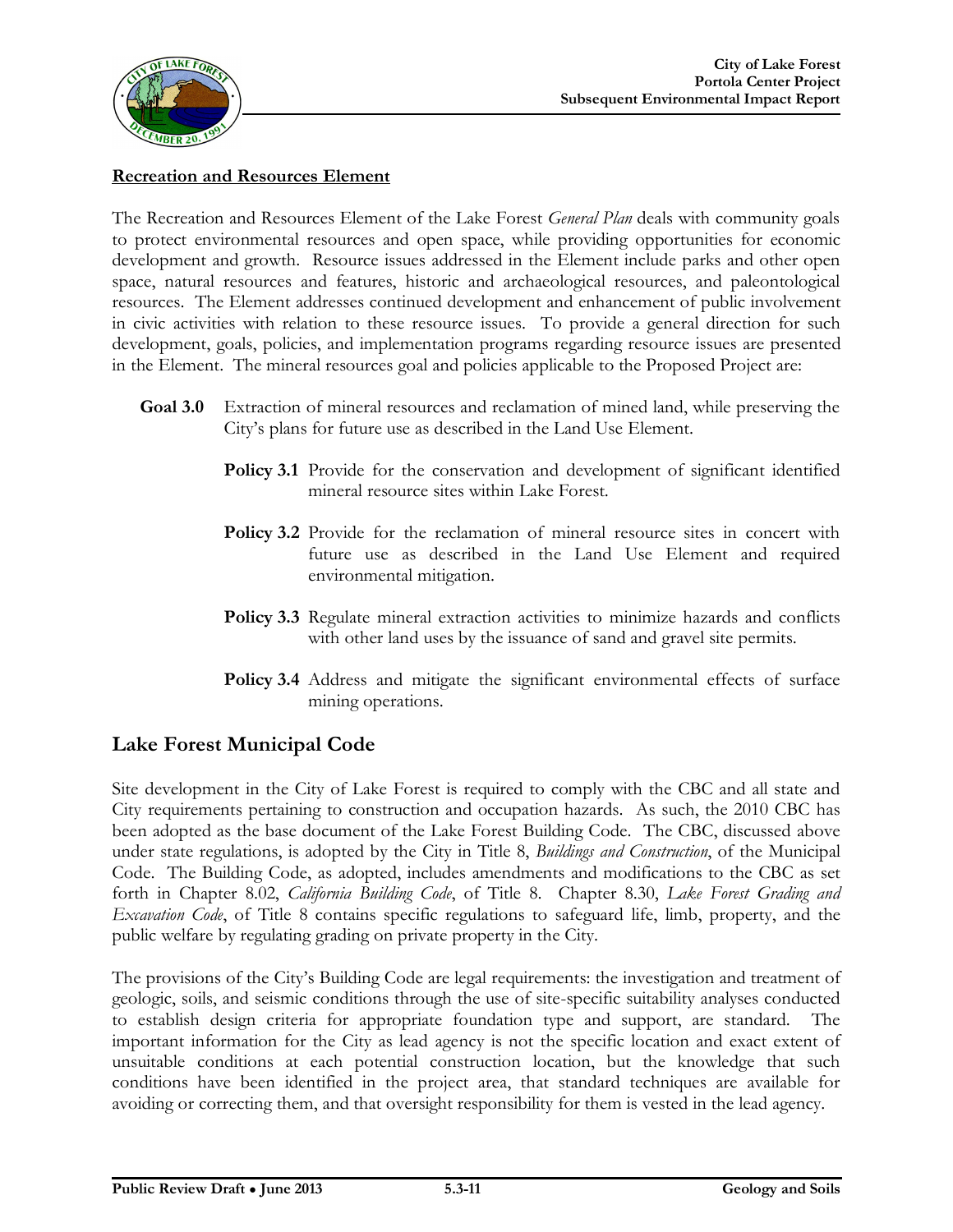

#### **Recreation and Resources Element**

The Recreation and Resources Element of the Lake Forest *General Plan* deals with community goals to protect environmental resources and open space, while providing opportunities for economic development and growth. Resource issues addressed in the Element include parks and other open space, natural resources and features, historic and archaeological resources, and paleontological resources. The Element addresses continued development and enhancement of public involvement in civic activities with relation to these resource issues. To provide a general direction for such development, goals, policies, and implementation programs regarding resource issues are presented in the Element. The mineral resources goal and policies applicable to the Proposed Project are:

- **Goal 3.0** Extraction of mineral resources and reclamation of mined land, while preserving the City's plans for future use as described in the Land Use Element.
	- **Policy 3.1** Provide for the conservation and development of significant identified mineral resource sites within Lake Forest.
	- Policy 3.2 Provide for the reclamation of mineral resource sites in concert with future use as described in the Land Use Element and required environmental mitigation.
	- **Policy 3.3** Regulate mineral extraction activities to minimize hazards and conflicts with other land uses by the issuance of sand and gravel site permits.
	- **Policy 3.4** Address and mitigate the significant environmental effects of surface mining operations.

#### **Lake Forest Municipal Code**

Site development in the City of Lake Forest is required to comply with the CBC and all state and City requirements pertaining to construction and occupation hazards. As such, the 2010 CBC has been adopted as the base document of the Lake Forest Building Code. The CBC, discussed above under state regulations, is adopted by the City in Title 8, *Buildings and Construction*, of the Municipal Code. The Building Code, as adopted, includes amendments and modifications to the CBC as set forth in Chapter 8.02, *California Building Code*, of Title 8. Chapter 8.30, *Lake Forest Grading and Excavation Code*, of Title 8 contains specific regulations to safeguard life, limb, property, and the public welfare by regulating grading on private property in the City.

The provisions of the City's Building Code are legal requirements: the investigation and treatment of geologic, soils, and seismic conditions through the use of site-specific suitability analyses conducted to establish design criteria for appropriate foundation type and support, are standard. The important information for the City as lead agency is not the specific location and exact extent of unsuitable conditions at each potential construction location, but the knowledge that such conditions have been identified in the project area, that standard techniques are available for avoiding or correcting them, and that oversight responsibility for them is vested in the lead agency.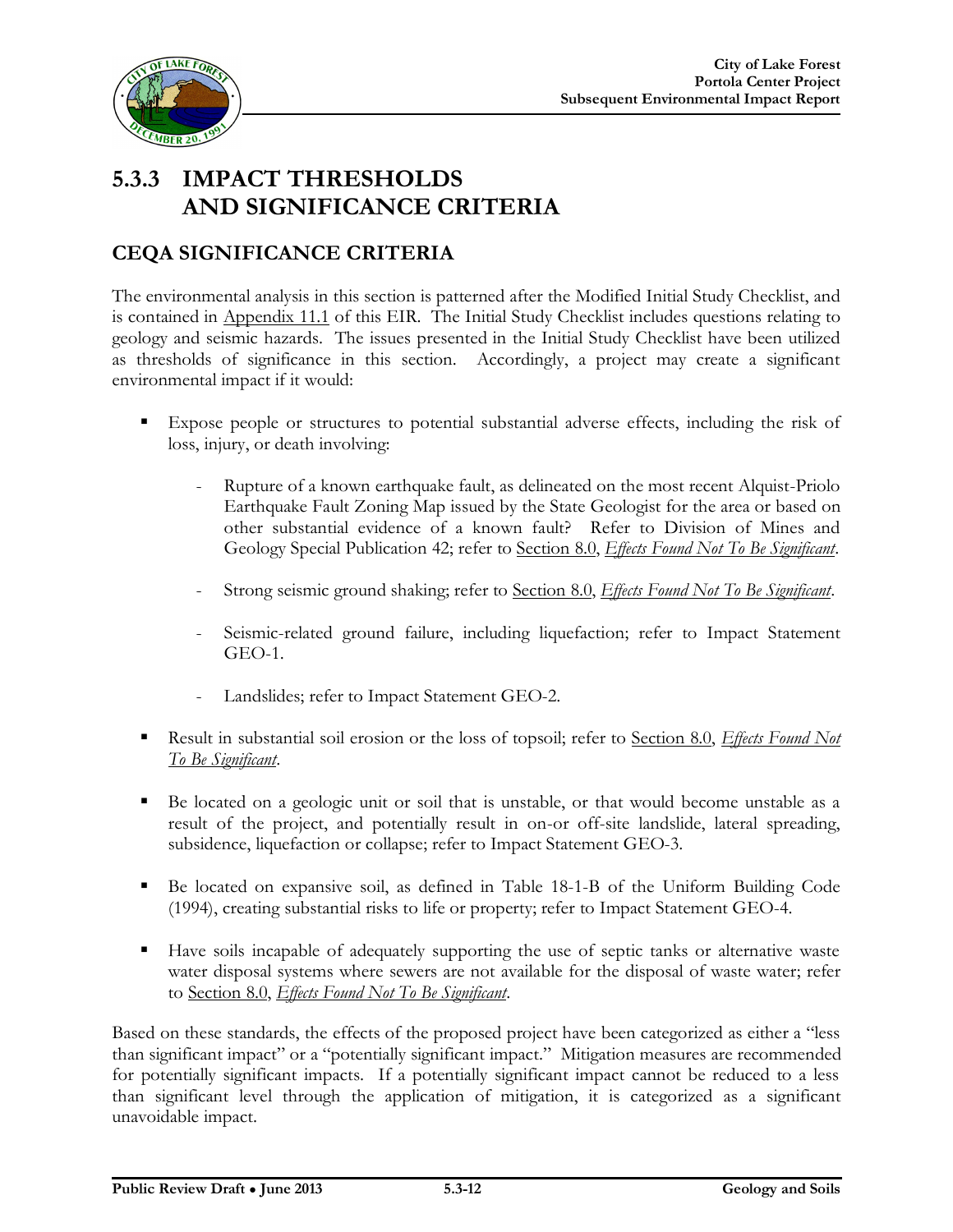

# **5.3.3 IMPACT THRESHOLDS AND SIGNIFICANCE CRITERIA**

### **CEQA SIGNIFICANCE CRITERIA**

The environmental analysis in this section is patterned after the Modified Initial Study Checklist, and is contained in Appendix 11.1 of this EIR. The Initial Study Checklist includes questions relating to geology and seismic hazards. The issues presented in the Initial Study Checklist have been utilized as thresholds of significance in this section. Accordingly, a project may create a significant environmental impact if it would:

- Expose people or structures to potential substantial adverse effects, including the risk of loss, injury, or death involving:
	- Rupture of a known earthquake fault, as delineated on the most recent Alquist-Priolo Earthquake Fault Zoning Map issued by the State Geologist for the area or based on other substantial evidence of a known fault? Refer to Division of Mines and Geology Special Publication 42; refer to Section 8.0, *Effects Found Not To Be Significant*.
	- Strong seismic ground shaking; refer to Section 8.0, *Effects Found Not To Be Significant*.
	- Seismic-related ground failure, including liquefaction; refer to Impact Statement GEO-1.
	- Landslides; refer to Impact Statement GEO-2.
- Result in substantial soil erosion or the loss of topsoil; refer to Section 8.0, *Effects Found Not To Be Significant*.
- Be located on a geologic unit or soil that is unstable, or that would become unstable as a result of the project, and potentially result in on-or off-site landslide, lateral spreading, subsidence, liquefaction or collapse; refer to Impact Statement GEO-3.
- Be located on expansive soil, as defined in Table 18-1-B of the Uniform Building Code (1994), creating substantial risks to life or property; refer to Impact Statement GEO-4.
- Have soils incapable of adequately supporting the use of septic tanks or alternative waste water disposal systems where sewers are not available for the disposal of waste water; refer to Section 8.0, *Effects Found Not To Be Significant*.

Based on these standards, the effects of the proposed project have been categorized as either a "less than significant impact" or a "potentially significant impact." Mitigation measures are recommended for potentially significant impacts. If a potentially significant impact cannot be reduced to a less than significant level through the application of mitigation, it is categorized as a significant unavoidable impact.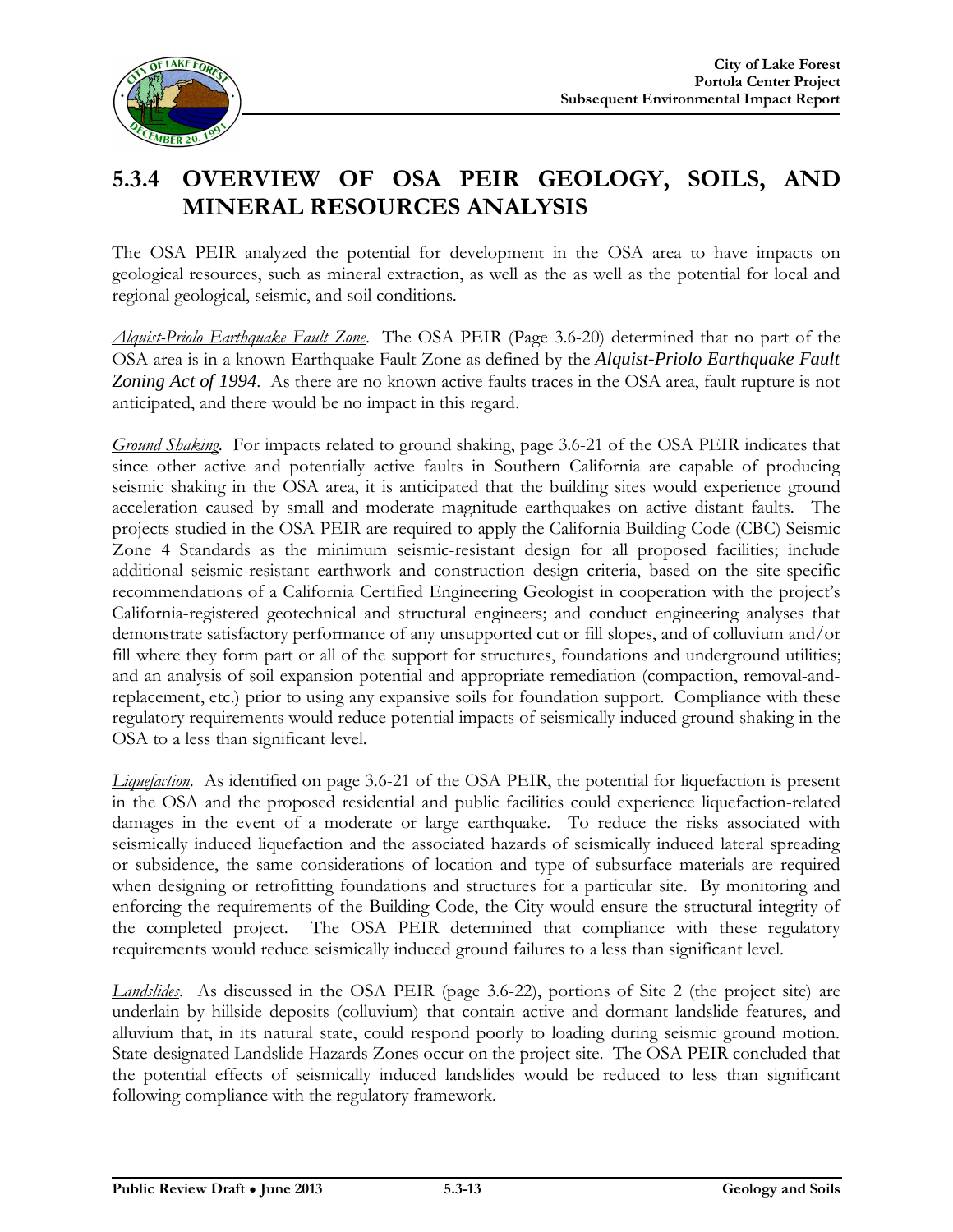

# **5.3.4 OVERVIEW OF OSA PEIR GEOLOGY, SOILS, AND MINERAL RESOURCES ANALYSIS**

The OSA PEIR analyzed the potential for development in the OSA area to have impacts on geological resources, such as mineral extraction, as well as the as well as the potential for local and regional geological, seismic, and soil conditions.

*Alquist-Priolo Earthquake Fault Zone*. The OSA PEIR (Page 3.6-20) determined that no part of the OSA area is in a known Earthquake Fault Zone as defined by the *Alquist-Priolo Earthquake Fault Zoning Act of 1994*. As there are no known active faults traces in the OSA area, fault rupture is not anticipated, and there would be no impact in this regard.

*Ground Shaking*. For impacts related to ground shaking, page 3.6-21 of the OSA PEIR indicates that since other active and potentially active faults in Southern California are capable of producing seismic shaking in the OSA area, it is anticipated that the building sites would experience ground acceleration caused by small and moderate magnitude earthquakes on active distant faults. The projects studied in the OSA PEIR are required to apply the California Building Code (CBC) Seismic Zone 4 Standards as the minimum seismic-resistant design for all proposed facilities; include additional seismic-resistant earthwork and construction design criteria, based on the site-specific recommendations of a California Certified Engineering Geologist in cooperation with the project's California-registered geotechnical and structural engineers; and conduct engineering analyses that demonstrate satisfactory performance of any unsupported cut or fill slopes, and of colluvium and/or fill where they form part or all of the support for structures, foundations and underground utilities; and an analysis of soil expansion potential and appropriate remediation (compaction, removal-andreplacement, etc.) prior to using any expansive soils for foundation support. Compliance with these regulatory requirements would reduce potential impacts of seismically induced ground shaking in the OSA to a less than significant level.

*Liquefaction*. As identified on page 3.6-21 of the OSA PEIR, the potential for liquefaction is present in the OSA and the proposed residential and public facilities could experience liquefaction-related damages in the event of a moderate or large earthquake. To reduce the risks associated with seismically induced liquefaction and the associated hazards of seismically induced lateral spreading or subsidence, the same considerations of location and type of subsurface materials are required when designing or retrofitting foundations and structures for a particular site. By monitoring and enforcing the requirements of the Building Code, the City would ensure the structural integrity of the completed project. The OSA PEIR determined that compliance with these regulatory requirements would reduce seismically induced ground failures to a less than significant level.

*Landslides*. As discussed in the OSA PEIR (page 3.6-22), portions of Site 2 (the project site) are underlain by hillside deposits (colluvium) that contain active and dormant landslide features, and alluvium that, in its natural state, could respond poorly to loading during seismic ground motion. State-designated Landslide Hazards Zones occur on the project site. The OSA PEIR concluded that the potential effects of seismically induced landslides would be reduced to less than significant following compliance with the regulatory framework.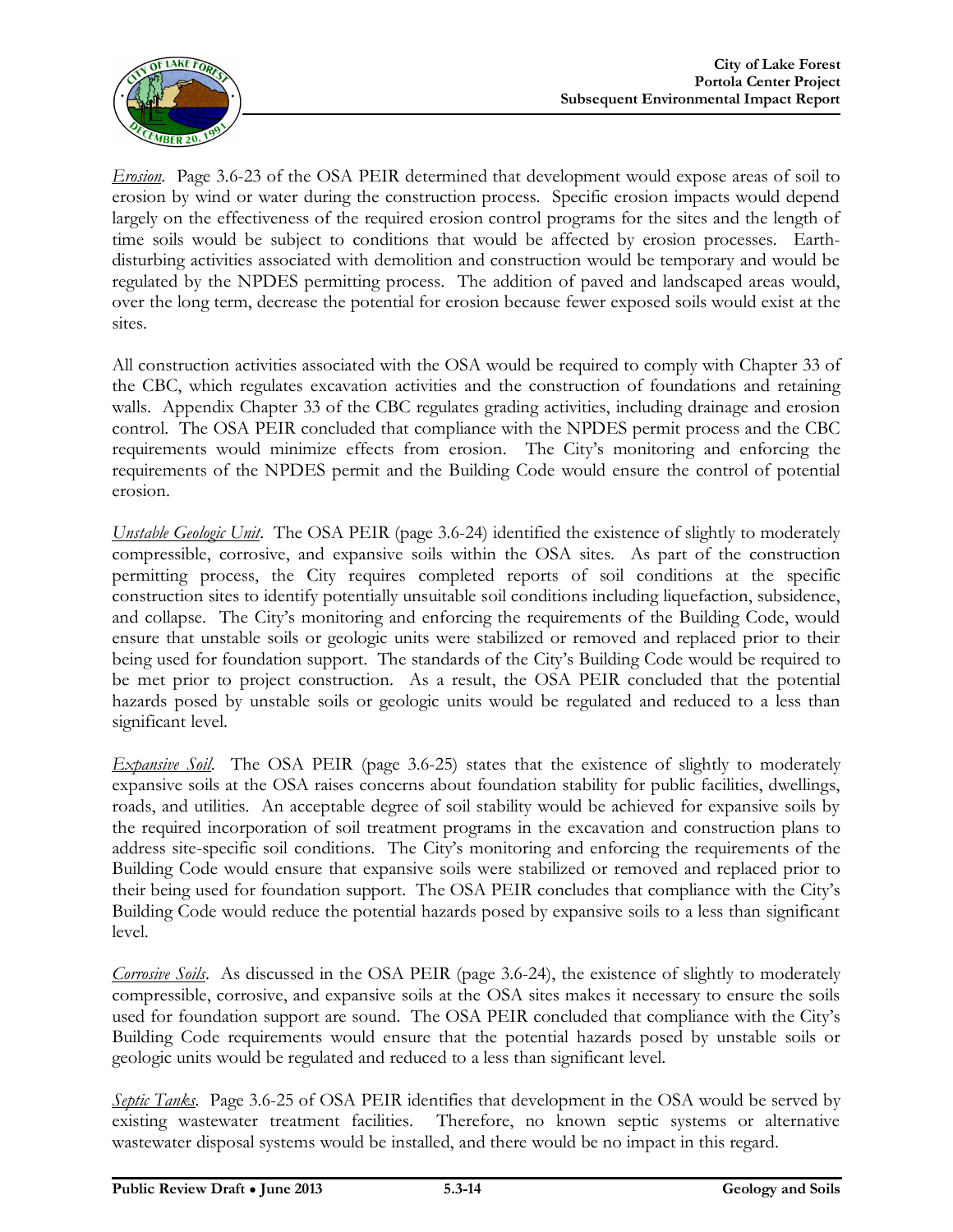

*Erosion*. Page 3.6-23 of the OSA PEIR determined that development would expose areas of soil to erosion by wind or water during the construction process. Specific erosion impacts would depend largely on the effectiveness of the required erosion control programs for the sites and the length of time soils would be subject to conditions that would be affected by erosion processes. Earthdisturbing activities associated with demolition and construction would be temporary and would be regulated by the NPDES permitting process. The addition of paved and landscaped areas would, over the long term, decrease the potential for erosion because fewer exposed soils would exist at the sites.

All construction activities associated with the OSA would be required to comply with Chapter 33 of the CBC, which regulates excavation activities and the construction of foundations and retaining walls. Appendix Chapter 33 of the CBC regulates grading activities, including drainage and erosion control. The OSA PEIR concluded that compliance with the NPDES permit process and the CBC requirements would minimize effects from erosion. The City's monitoring and enforcing the requirements of the NPDES permit and the Building Code would ensure the control of potential erosion.

*Unstable Geologic Unit*. The OSA PEIR (page 3.6-24) identified the existence of slightly to moderately compressible, corrosive, and expansive soils within the OSA sites. As part of the construction permitting process, the City requires completed reports of soil conditions at the specific construction sites to identify potentially unsuitable soil conditions including liquefaction, subsidence, and collapse. The City's monitoring and enforcing the requirements of the Building Code, would ensure that unstable soils or geologic units were stabilized or removed and replaced prior to their being used for foundation support. The standards of the City's Building Code would be required to be met prior to project construction. As a result, the OSA PEIR concluded that the potential hazards posed by unstable soils or geologic units would be regulated and reduced to a less than significant level.

*Expansive Soil.* The OSA PEIR (page 3.6-25) states that the existence of slightly to moderately expansive soils at the OSA raises concerns about foundation stability for public facilities, dwellings, roads, and utilities. An acceptable degree of soil stability would be achieved for expansive soils by the required incorporation of soil treatment programs in the excavation and construction plans to address site-specific soil conditions. The City's monitoring and enforcing the requirements of the Building Code would ensure that expansive soils were stabilized or removed and replaced prior to their being used for foundation support. The OSA PEIR concludes that compliance with the City's Building Code would reduce the potential hazards posed by expansive soils to a less than significant level.

*Corrosive Soils*. As discussed in the OSA PEIR (page 3.6-24), the existence of slightly to moderately compressible, corrosive, and expansive soils at the OSA sites makes it necessary to ensure the soils used for foundation support are sound. The OSA PEIR concluded that compliance with the City's Building Code requirements would ensure that the potential hazards posed by unstable soils or geologic units would be regulated and reduced to a less than significant level.

*Septic Tanks*. Page 3.6-25 of OSA PEIR identifies that development in the OSA would be served by existing wastewater treatment facilities. Therefore, no known septic systems or alternative wastewater disposal systems would be installed, and there would be no impact in this regard.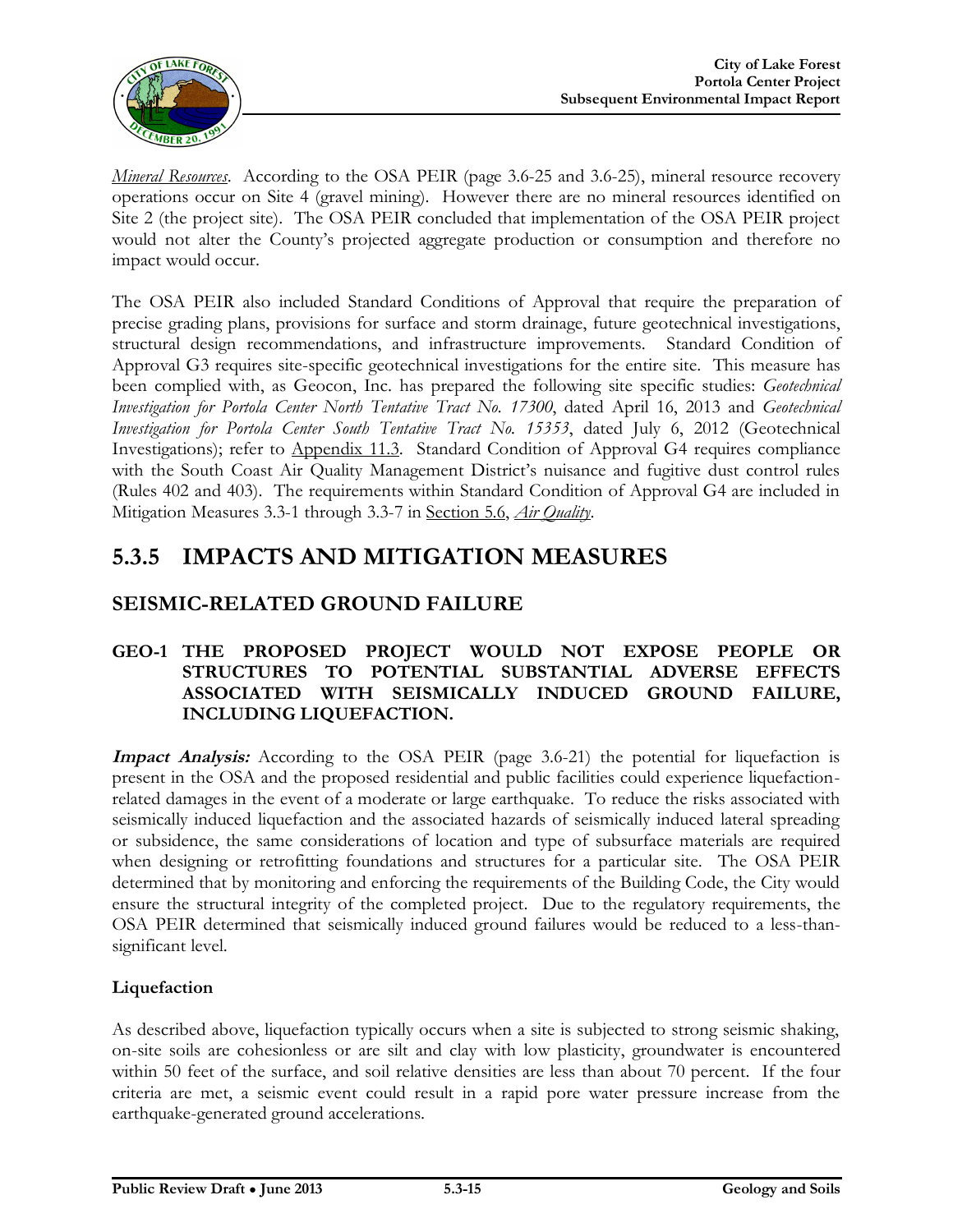

*Mineral Resources*. According to the OSA PEIR (page 3.6-25 and 3.6-25), mineral resource recovery operations occur on Site 4 (gravel mining). However there are no mineral resources identified on Site 2 (the project site). The OSA PEIR concluded that implementation of the OSA PEIR project would not alter the County's projected aggregate production or consumption and therefore no impact would occur.

The OSA PEIR also included Standard Conditions of Approval that require the preparation of precise grading plans, provisions for surface and storm drainage, future geotechnical investigations, structural design recommendations, and infrastructure improvements. Standard Condition of Approval G3 requires site-specific geotechnical investigations for the entire site. This measure has been complied with, as Geocon, Inc. has prepared the following site specific studies: *Geotechnical Investigation for Portola Center North Tentative Tract No. 17300*, dated April 16, 2013 and *Geotechnical Investigation for Portola Center South Tentative Tract No. 15353*, dated July 6, 2012 (Geotechnical Investigations); refer to Appendix 11.3. Standard Condition of Approval G4 requires compliance with the South Coast Air Quality Management District's nuisance and fugitive dust control rules (Rules 402 and 403). The requirements within Standard Condition of Approval G4 are included in Mitigation Measures 3.3-1 through 3.3-7 in Section 5.6, *Air Quality*.

# **5.3.5 IMPACTS AND MITIGATION MEASURES**

### **SEISMIC-RELATED GROUND FAILURE**

#### **GEO-1 THE PROPOSED PROJECT WOULD NOT EXPOSE PEOPLE OR STRUCTURES TO POTENTIAL SUBSTANTIAL ADVERSE EFFECTS ASSOCIATED WITH SEISMICALLY INDUCED GROUND FAILURE, INCLUDING LIQUEFACTION.**

**Impact Analysis:** According to the OSA PEIR (page 3.6-21) the potential for liquefaction is present in the OSA and the proposed residential and public facilities could experience liquefactionrelated damages in the event of a moderate or large earthquake. To reduce the risks associated with seismically induced liquefaction and the associated hazards of seismically induced lateral spreading or subsidence, the same considerations of location and type of subsurface materials are required when designing or retrofitting foundations and structures for a particular site. The OSA PEIR determined that by monitoring and enforcing the requirements of the Building Code, the City would ensure the structural integrity of the completed project. Due to the regulatory requirements, the OSA PEIR determined that seismically induced ground failures would be reduced to a less-thansignificant level.

#### **Liquefaction**

As described above, liquefaction typically occurs when a site is subjected to strong seismic shaking, on-site soils are cohesionless or are silt and clay with low plasticity, groundwater is encountered within 50 feet of the surface, and soil relative densities are less than about 70 percent. If the four criteria are met, a seismic event could result in a rapid pore water pressure increase from the earthquake-generated ground accelerations.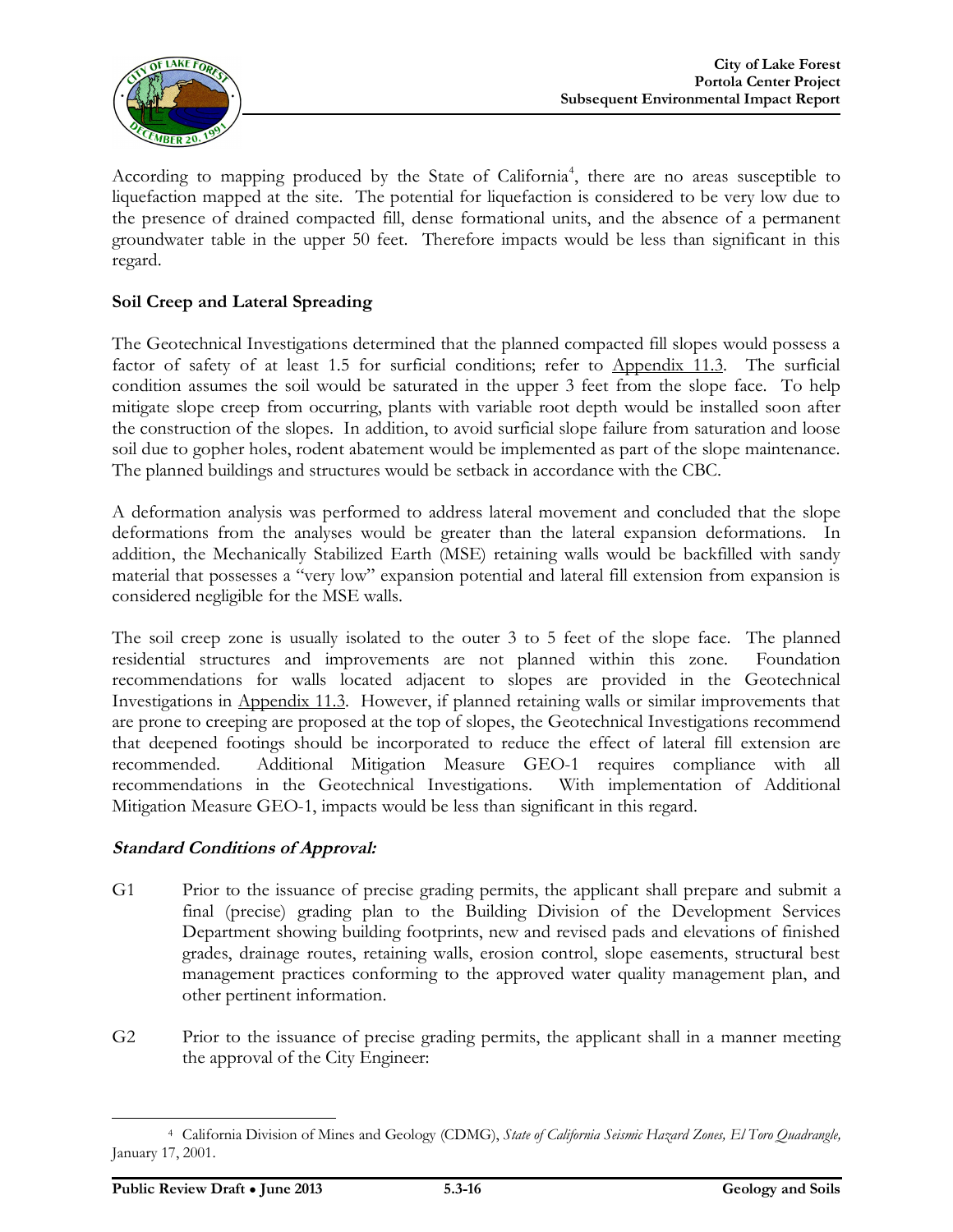

According to mapping produced by the State of California<sup>4</sup>, there are no areas susceptible to liquefaction mapped at the site. The potential for liquefaction is considered to be very low due to the presence of drained compacted fill, dense formational units, and the absence of a permanent groundwater table in the upper 50 feet. Therefore impacts would be less than significant in this regard.

#### **Soil Creep and Lateral Spreading**

The Geotechnical Investigations determined that the planned compacted fill slopes would possess a factor of safety of at least 1.5 for surficial conditions; refer to Appendix 11.3. The surficial condition assumes the soil would be saturated in the upper 3 feet from the slope face. To help mitigate slope creep from occurring, plants with variable root depth would be installed soon after the construction of the slopes. In addition, to avoid surficial slope failure from saturation and loose soil due to gopher holes, rodent abatement would be implemented as part of the slope maintenance. The planned buildings and structures would be setback in accordance with the CBC.

A deformation analysis was performed to address lateral movement and concluded that the slope deformations from the analyses would be greater than the lateral expansion deformations. In addition, the Mechanically Stabilized Earth (MSE) retaining walls would be backfilled with sandy material that possesses a "very low" expansion potential and lateral fill extension from expansion is considered negligible for the MSE walls.

The soil creep zone is usually isolated to the outer 3 to 5 feet of the slope face. The planned residential structures and improvements are not planned within this zone. Foundation recommendations for walls located adjacent to slopes are provided in the Geotechnical Investigations in Appendix 11.3. However, if planned retaining walls or similar improvements that are prone to creeping are proposed at the top of slopes, the Geotechnical Investigations recommend that deepened footings should be incorporated to reduce the effect of lateral fill extension are recommended. Additional Mitigation Measure GEO-1 requires compliance with all recommendations in the Geotechnical Investigations. With implementation of Additional Mitigation Measure GEO-1, impacts would be less than significant in this regard.

#### **Standard Conditions of Approval:**

- G1 Prior to the issuance of precise grading permits, the applicant shall prepare and submit a final (precise) grading plan to the Building Division of the Development Services Department showing building footprints, new and revised pads and elevations of finished grades, drainage routes, retaining walls, erosion control, slope easements, structural best management practices conforming to the approved water quality management plan, and other pertinent information.
- G2 Prior to the issuance of precise grading permits, the applicant shall in a manner meeting the approval of the City Engineer:

 $\overline{a}$ 

<sup>4</sup> California Division of Mines and Geology (CDMG), *State of California Seismic Hazard Zones, El Toro Quadrangle,*  January 17, 2001.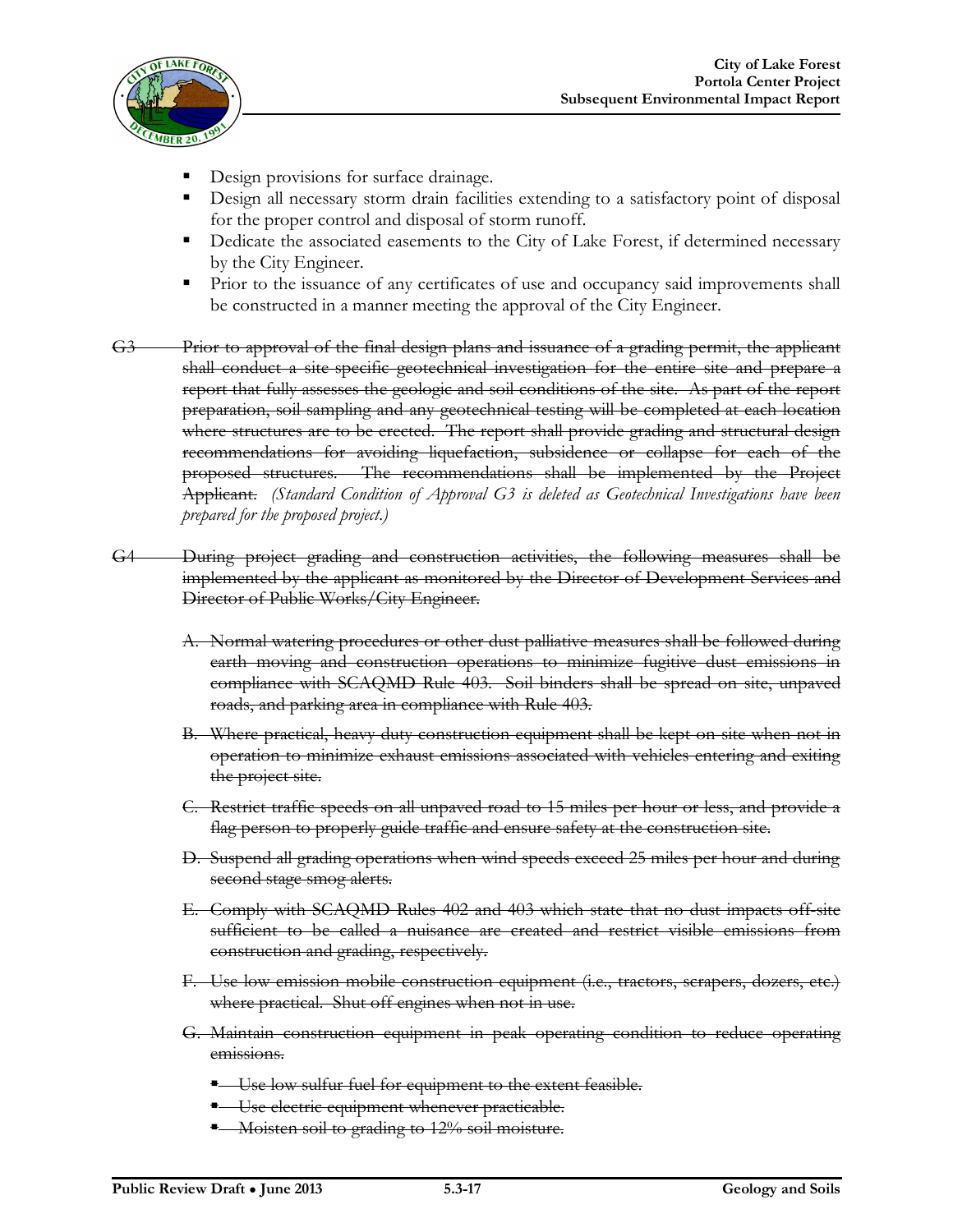

- Design provisions for surface drainage.
- Design all necessary storm drain facilities extending to a satisfactory point of disposal for the proper control and disposal of storm runoff.
- Dedicate the associated easements to the City of Lake Forest, if determined necessary by the City Engineer.
- Prior to the issuance of any certificates of use and occupancy said improvements shall be constructed in a manner meeting the approval of the City Engineer.
- G3 Prior to approval of the final design plans and issuance of a grading permit, the applicant shall conduct a site-specific geotechnical investigation for the entire site and prepare a report that fully assesses the geologic and soil conditions of the site. As part of the report preparation, soil sampling and any geotechnical testing will be completed at each location where structures are to be crected. The report shall provide grading and structural design recommendations for avoiding liquefaction, subsidence or collapse for each of the proposed structures. The recommendations shall be implemented by the Project Applicant. *(Standard Condition of Approval G3 is deleted as Geotechnical Investigations have been prepared for the proposed project.)*
- G4 During project grading and construction activities, the following measures shall be implemented by the applicant as monitored by the Director of Development Services and Director of Public Works/City Engineer.
	- A. Normal watering procedures or other dust palliative measures shall be followed during earth moving and construction operations to minimize fugitive dust emissions in compliance with SCAQMD Rule 403. Soil binders shall be spread on site, unpaved roads, and parking area in compliance with Rule 403.
	- B. Where practical, heavy duty construction equipment shall be kept on-site when not in operation to minimize exhaust emissions associated with vehicles entering and exiting the project site.
	- C. Restrict traffic speeds on all unpaved road to 15 miles per hour or less, and provide a flag person to properly guide traffic and ensure safety at the construction site.
	- D. Suspend all grading operations when wind speeds exceed 25 miles per hour and during second stage smog alerts.
	- E. Comply with SCAQMD Rules 402 and 403 which state that no dust impacts off-site sufficient to be called a nuisance are created and restrict visible emissions from construction and grading, respectively.
	- F. Use low emission mobile construction equipment (i.e., tractors, scrapers, dozers, etc.) where practical. Shut off engines when not in use.
	- G. Maintain construction equipment in peak operating condition to reduce operating emissions.
		- **-** Use low sulfur fuel for equipment to the extent feasible.
		- **Use electric equipment whenever practicable.**
		- Moisten soil to grading to 12% soil moisture.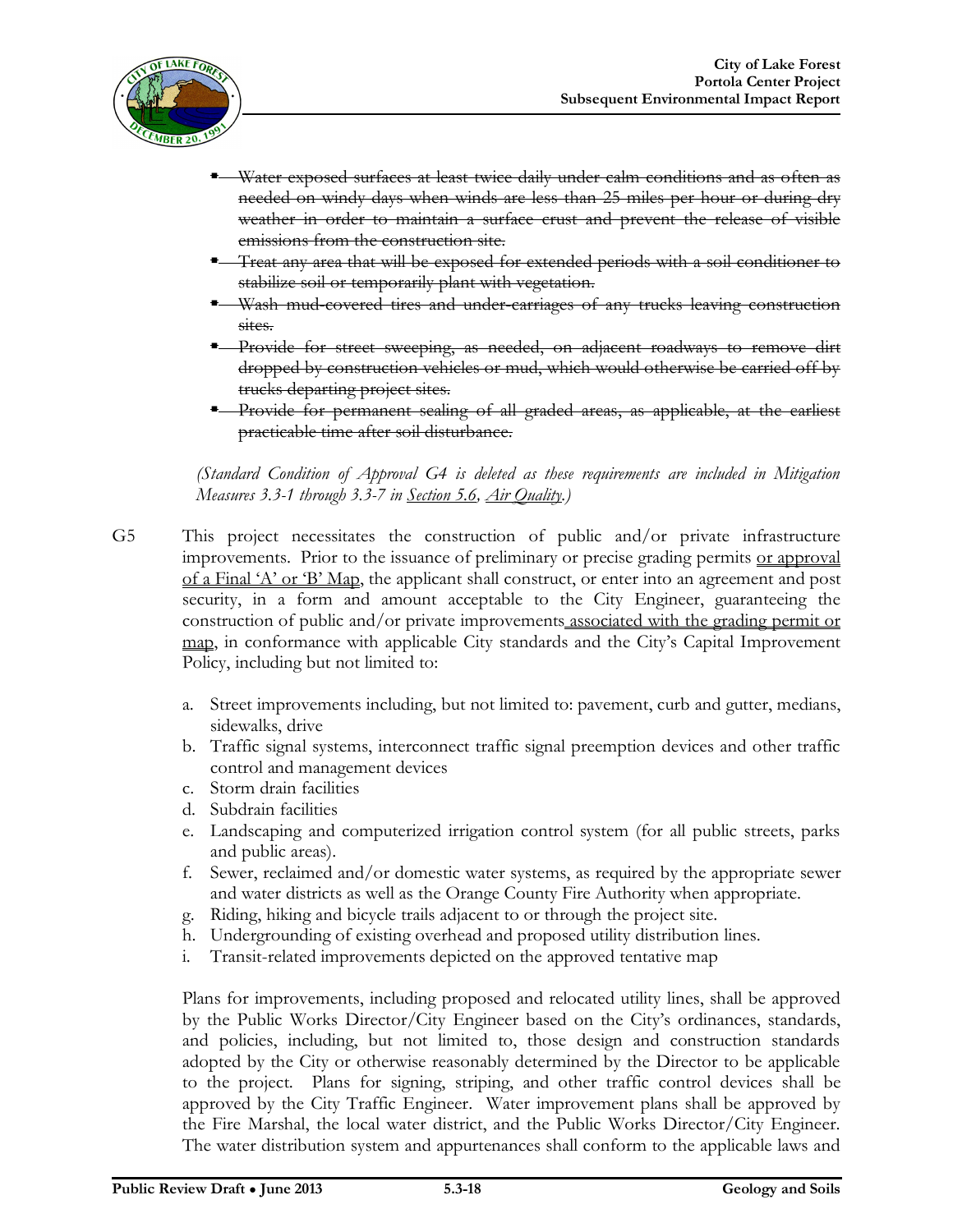

- Water exposed surfaces at least twice daily under calm conditions and as often as needed on windy days when winds are less than 25 miles per hour or during dry weather in order to maintain a surface crust and prevent the release of visible emissions from the construction site.
- Treat any area that will be exposed for extended periods with a soil conditioner to stabilize soil or temporarily plant with vegetation.
- Wash mud-covered tires and under-carriages of any trucks leaving construction sites.
- Provide for street sweeping, as needed, on adjacent roadways to remove dirt dropped by construction vehicles or mud, which would otherwise be carried off by trucks departing project sites.
- Provide for permanent sealing of all graded areas, as applicable, at the earliest practicable time after soil disturbance.

*(Standard Condition of Approval G4 is deleted as these requirements are included in Mitigation Measures 3.3-1 through 3.3-7 in Section 5.6, Air Quality.)*

- G5 This project necessitates the construction of public and/or private infrastructure improvements. Prior to the issuance of preliminary or precise grading permits or approval of a Final 'A' or 'B' Map, the applicant shall construct, or enter into an agreement and post security, in a form and amount acceptable to the City Engineer, guaranteeing the construction of public and/or private improvements associated with the grading permit or map, in conformance with applicable City standards and the City's Capital Improvement Policy, including but not limited to:
	- a. Street improvements including, but not limited to: pavement, curb and gutter, medians, sidewalks, drive
	- b. Traffic signal systems, interconnect traffic signal preemption devices and other traffic control and management devices
	- c. Storm drain facilities
	- d. Subdrain facilities
	- e. Landscaping and computerized irrigation control system (for all public streets, parks and public areas).
	- f. Sewer, reclaimed and/or domestic water systems, as required by the appropriate sewer and water districts as well as the Orange County Fire Authority when appropriate.
	- g. Riding, hiking and bicycle trails adjacent to or through the project site.
	- h. Undergrounding of existing overhead and proposed utility distribution lines.
	- i. Transit-related improvements depicted on the approved tentative map

Plans for improvements, including proposed and relocated utility lines, shall be approved by the Public Works Director/City Engineer based on the City's ordinances, standards, and policies, including, but not limited to, those design and construction standards adopted by the City or otherwise reasonably determined by the Director to be applicable to the project. Plans for signing, striping, and other traffic control devices shall be approved by the City Traffic Engineer. Water improvement plans shall be approved by the Fire Marshal, the local water district, and the Public Works Director/City Engineer. The water distribution system and appurtenances shall conform to the applicable laws and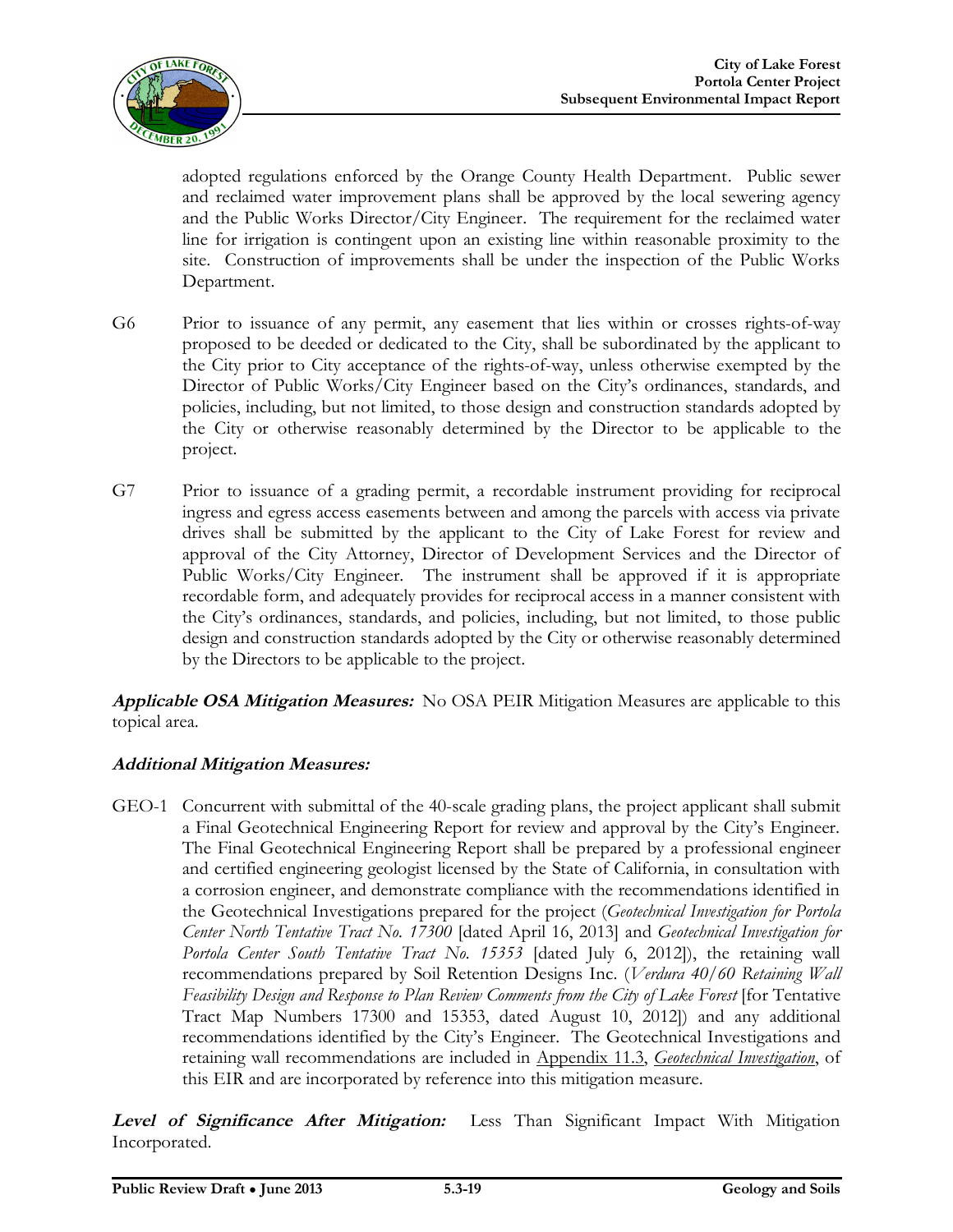

adopted regulations enforced by the Orange County Health Department. Public sewer and reclaimed water improvement plans shall be approved by the local sewering agency and the Public Works Director/City Engineer. The requirement for the reclaimed water line for irrigation is contingent upon an existing line within reasonable proximity to the site. Construction of improvements shall be under the inspection of the Public Works Department.

- G6 Prior to issuance of any permit, any easement that lies within or crosses rights-of-way proposed to be deeded or dedicated to the City, shall be subordinated by the applicant to the City prior to City acceptance of the rights-of-way, unless otherwise exempted by the Director of Public Works/City Engineer based on the City's ordinances, standards, and policies, including, but not limited, to those design and construction standards adopted by the City or otherwise reasonably determined by the Director to be applicable to the project.
- G7 Prior to issuance of a grading permit, a recordable instrument providing for reciprocal ingress and egress access easements between and among the parcels with access via private drives shall be submitted by the applicant to the City of Lake Forest for review and approval of the City Attorney, Director of Development Services and the Director of Public Works/City Engineer. The instrument shall be approved if it is appropriate recordable form, and adequately provides for reciprocal access in a manner consistent with the City's ordinances, standards, and policies, including, but not limited, to those public design and construction standards adopted by the City or otherwise reasonably determined by the Directors to be applicable to the project.

**Applicable OSA Mitigation Measures:** No OSA PEIR Mitigation Measures are applicable to this topical area.

#### **Additional Mitigation Measures:**

GEO-1 Concurrent with submittal of the 40-scale grading plans, the project applicant shall submit a Final Geotechnical Engineering Report for review and approval by the City's Engineer. The Final Geotechnical Engineering Report shall be prepared by a professional engineer and certified engineering geologist licensed by the State of California, in consultation with a corrosion engineer, and demonstrate compliance with the recommendations identified in the Geotechnical Investigations prepared for the project (*Geotechnical Investigation for Portola Center North Tentative Tract No. 17300* [dated April 16, 2013] and *Geotechnical Investigation for Portola Center South Tentative Tract No. 15353* [dated July 6, 2012]), the retaining wall recommendations prepared by Soil Retention Designs Inc. (*Verdura 40/60 Retaining Wall Feasibility Design and Response to Plan Review Comments from the City of Lake Forest* [for Tentative Tract Map Numbers 17300 and 15353, dated August 10, 2012]) and any additional recommendations identified by the City's Engineer. The Geotechnical Investigations and retaining wall recommendations are included in Appendix 11.3, *Geotechnical Investigation*, of this EIR and are incorporated by reference into this mitigation measure.

**Level of Significance After Mitigation:** Less Than Significant Impact With Mitigation Incorporated.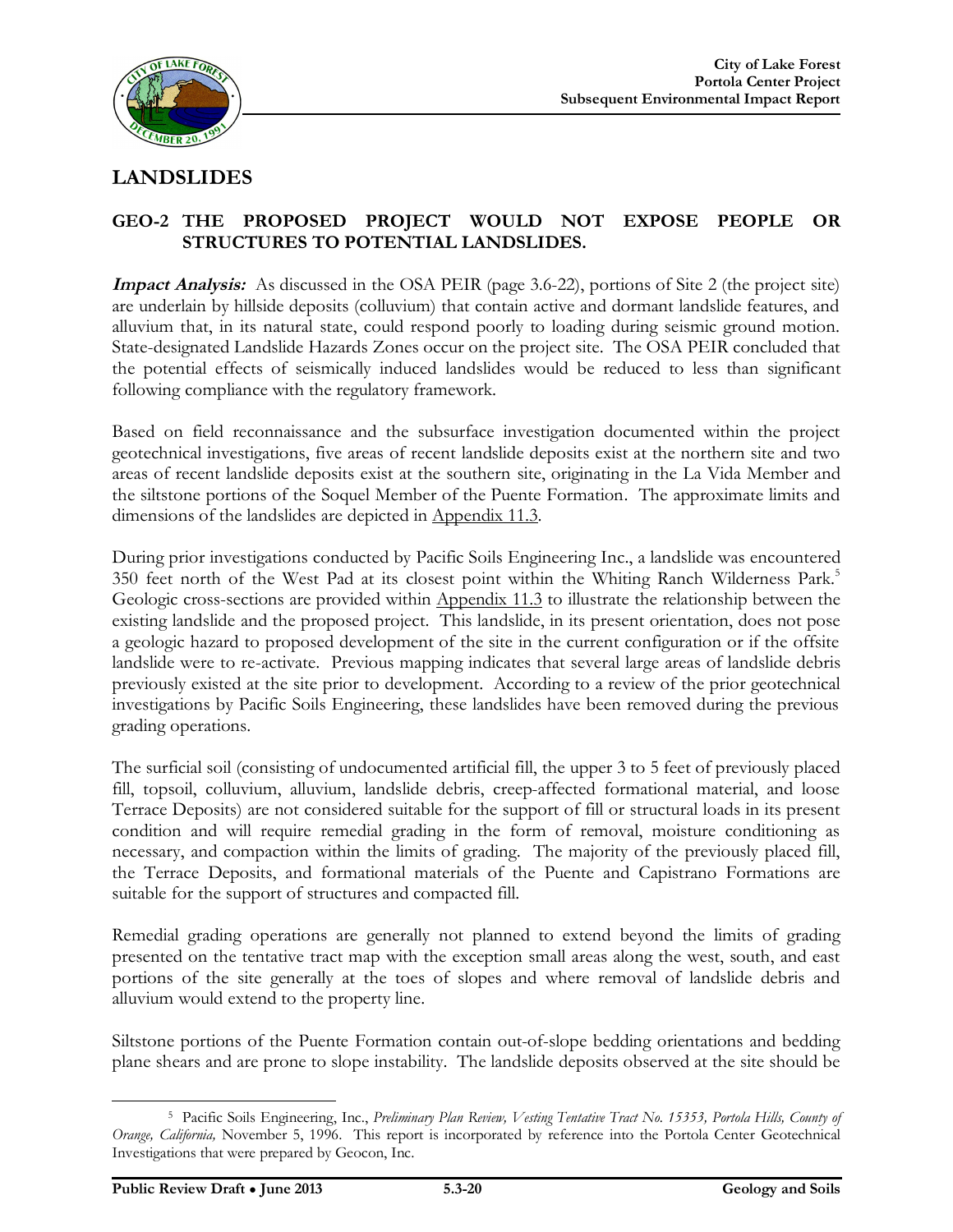

#### **LANDSLIDES**

#### **GEO-2 THE PROPOSED PROJECT WOULD NOT EXPOSE PEOPLE OR STRUCTURES TO POTENTIAL LANDSLIDES.**

**Impact Analysis:** As discussed in the OSA PEIR (page 3.6-22), portions of Site 2 (the project site) are underlain by hillside deposits (colluvium) that contain active and dormant landslide features, and alluvium that, in its natural state, could respond poorly to loading during seismic ground motion. State-designated Landslide Hazards Zones occur on the project site. The OSA PEIR concluded that the potential effects of seismically induced landslides would be reduced to less than significant following compliance with the regulatory framework.

Based on field reconnaissance and the subsurface investigation documented within the project geotechnical investigations, five areas of recent landslide deposits exist at the northern site and two areas of recent landslide deposits exist at the southern site, originating in the La Vida Member and the siltstone portions of the Soquel Member of the Puente Formation. The approximate limits and dimensions of the landslides are depicted in Appendix 11.3.

During prior investigations conducted by Pacific Soils Engineering Inc., a landslide was encountered 350 feet north of the West Pad at its closest point within the Whiting Ranch Wilderness Park.<sup>5</sup> Geologic cross-sections are provided within Appendix 11.3 to illustrate the relationship between the existing landslide and the proposed project. This landslide, in its present orientation, does not pose a geologic hazard to proposed development of the site in the current configuration or if the offsite landslide were to re-activate. Previous mapping indicates that several large areas of landslide debris previously existed at the site prior to development. According to a review of the prior geotechnical investigations by Pacific Soils Engineering, these landslides have been removed during the previous grading operations.

The surficial soil (consisting of undocumented artificial fill, the upper 3 to 5 feet of previously placed fill, topsoil, colluvium, alluvium, landslide debris, creep-affected formational material, and loose Terrace Deposits) are not considered suitable for the support of fill or structural loads in its present condition and will require remedial grading in the form of removal, moisture conditioning as necessary, and compaction within the limits of grading. The majority of the previously placed fill, the Terrace Deposits, and formational materials of the Puente and Capistrano Formations are suitable for the support of structures and compacted fill.

Remedial grading operations are generally not planned to extend beyond the limits of grading presented on the tentative tract map with the exception small areas along the west, south, and east portions of the site generally at the toes of slopes and where removal of landslide debris and alluvium would extend to the property line.

Siltstone portions of the Puente Formation contain out-of-slope bedding orientations and bedding plane shears and are prone to slope instability. The landslide deposits observed at the site should be

 <sup>5</sup> Pacific Soils Engineering, Inc., *Preliminary Plan Review, Vesting Tentative Tract No. 15353, Portola Hills, County of Orange, California,* November 5, 1996. This report is incorporated by reference into the Portola Center Geotechnical Investigations that were prepared by Geocon, Inc.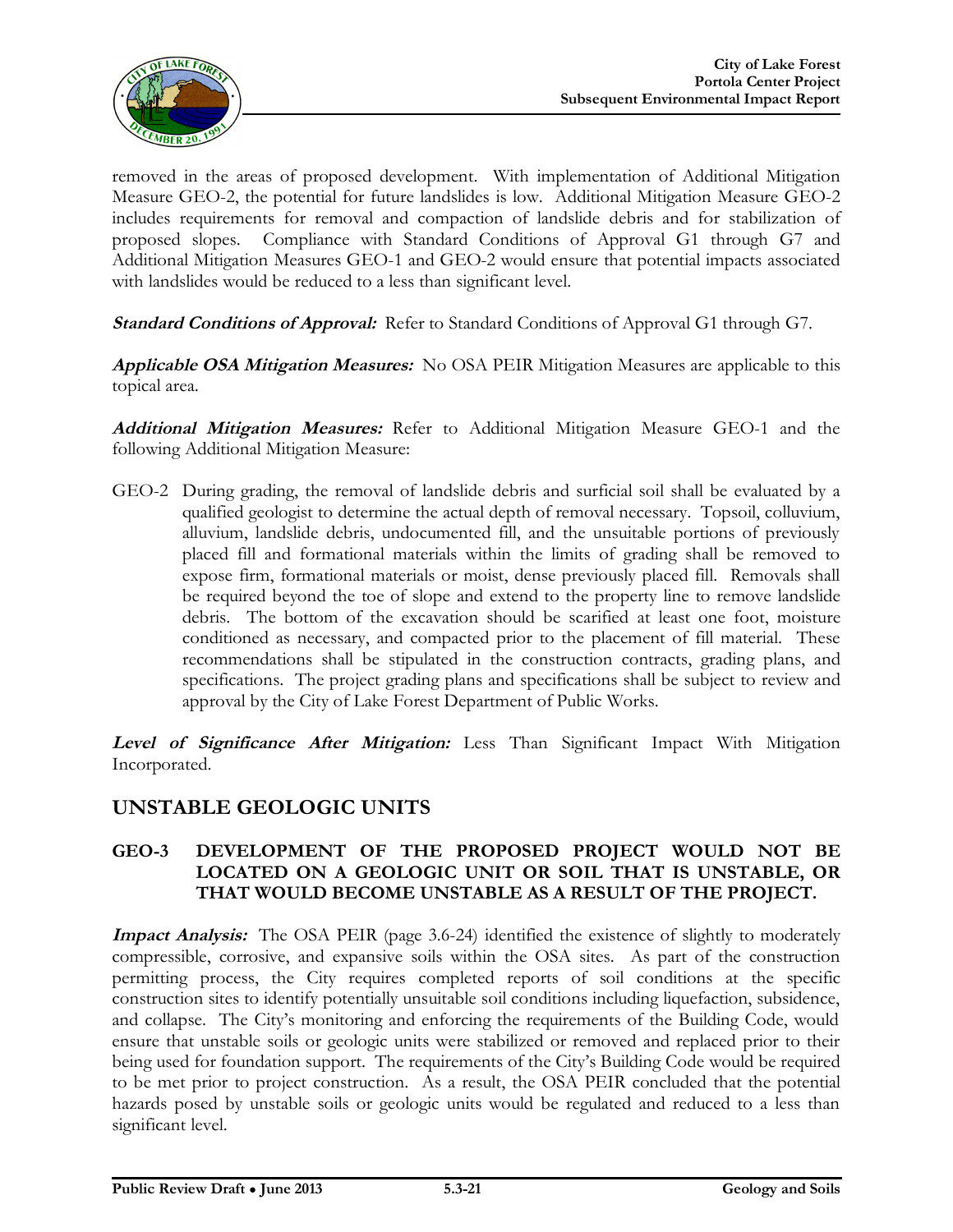

removed in the areas of proposed development. With implementation of Additional Mitigation Measure GEO-2, the potential for future landslides is low. Additional Mitigation Measure GEO-2 includes requirements for removal and compaction of landslide debris and for stabilization of proposed slopes. Compliance with Standard Conditions of Approval G1 through G7 and Additional Mitigation Measures GEO-1 and GEO-2 would ensure that potential impacts associated with landslides would be reduced to a less than significant level.

**Standard Conditions of Approval:** Refer to Standard Conditions of Approval G1 through G7.

**Applicable OSA Mitigation Measures:** No OSA PEIR Mitigation Measures are applicable to this topical area.

**Additional Mitigation Measures:** Refer to Additional Mitigation Measure GEO-1 and the following Additional Mitigation Measure:

GEO-2 During grading, the removal of landslide debris and surficial soil shall be evaluated by a qualified geologist to determine the actual depth of removal necessary. Topsoil, colluvium, alluvium, landslide debris, undocumented fill, and the unsuitable portions of previously placed fill and formational materials within the limits of grading shall be removed to expose firm, formational materials or moist, dense previously placed fill. Removals shall be required beyond the toe of slope and extend to the property line to remove landslide debris. The bottom of the excavation should be scarified at least one foot, moisture conditioned as necessary, and compacted prior to the placement of fill material. These recommendations shall be stipulated in the construction contracts, grading plans, and specifications. The project grading plans and specifications shall be subject to review and approval by the City of Lake Forest Department of Public Works.

**Level of Significance After Mitigation:** Less Than Significant Impact With Mitigation Incorporated.

#### **UNSTABLE GEOLOGIC UNITS**

#### **GEO-3 DEVELOPMENT OF THE PROPOSED PROJECT WOULD NOT BE LOCATED ON A GEOLOGIC UNIT OR SOIL THAT IS UNSTABLE, OR THAT WOULD BECOME UNSTABLE AS A RESULT OF THE PROJECT.**

**Impact Analysis:** The OSA PEIR (page 3.6-24) identified the existence of slightly to moderately compressible, corrosive, and expansive soils within the OSA sites. As part of the construction permitting process, the City requires completed reports of soil conditions at the specific construction sites to identify potentially unsuitable soil conditions including liquefaction, subsidence, and collapse. The City's monitoring and enforcing the requirements of the Building Code, would ensure that unstable soils or geologic units were stabilized or removed and replaced prior to their being used for foundation support. The requirements of the City's Building Code would be required to be met prior to project construction. As a result, the OSA PEIR concluded that the potential hazards posed by unstable soils or geologic units would be regulated and reduced to a less than significant level.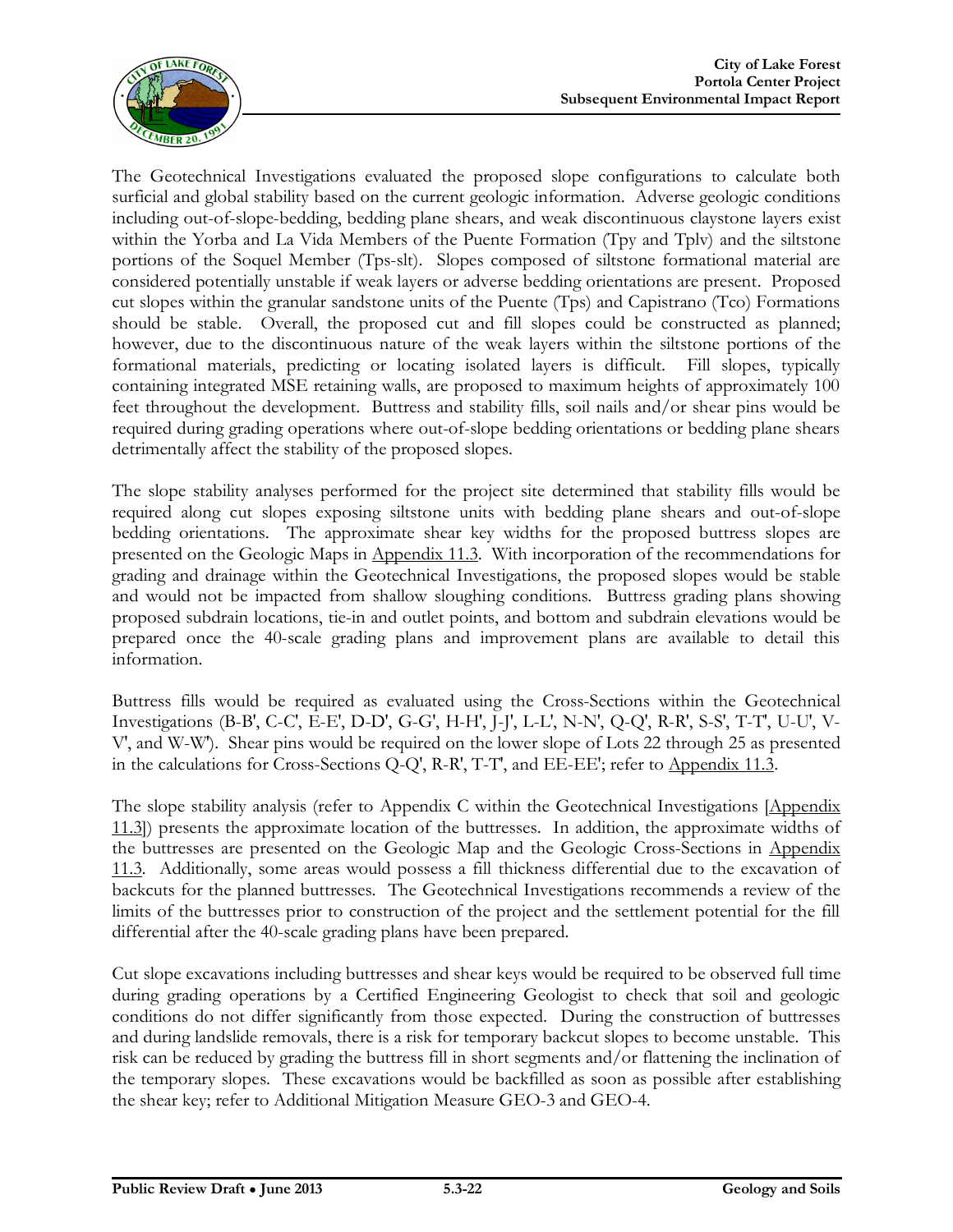

The Geotechnical Investigations evaluated the proposed slope configurations to calculate both surficial and global stability based on the current geologic information. Adverse geologic conditions including out-of-slope-bedding, bedding plane shears, and weak discontinuous claystone layers exist within the Yorba and La Vida Members of the Puente Formation (Tpy and Tplv) and the siltstone portions of the Soquel Member (Tps-slt). Slopes composed of siltstone formational material are considered potentially unstable if weak layers or adverse bedding orientations are present. Proposed cut slopes within the granular sandstone units of the Puente (Tps) and Capistrano (Tco) Formations should be stable. Overall, the proposed cut and fill slopes could be constructed as planned; however, due to the discontinuous nature of the weak layers within the siltstone portions of the formational materials, predicting or locating isolated layers is difficult. Fill slopes, typically containing integrated MSE retaining walls, are proposed to maximum heights of approximately 100 feet throughout the development. Buttress and stability fills, soil nails and/or shear pins would be required during grading operations where out-of-slope bedding orientations or bedding plane shears detrimentally affect the stability of the proposed slopes.

The slope stability analyses performed for the project site determined that stability fills would be required along cut slopes exposing siltstone units with bedding plane shears and out-of-slope bedding orientations. The approximate shear key widths for the proposed buttress slopes are presented on the Geologic Maps in Appendix 11.3. With incorporation of the recommendations for grading and drainage within the Geotechnical Investigations, the proposed slopes would be stable and would not be impacted from shallow sloughing conditions. Buttress grading plans showing proposed subdrain locations, tie-in and outlet points, and bottom and subdrain elevations would be prepared once the 40-scale grading plans and improvement plans are available to detail this information.

Buttress fills would be required as evaluated using the Cross-Sections within the Geotechnical Investigations (B-B′, C-C′, E-E′, D-D′, G-G′, H-H′, J-J′, L-L′, N-N′, Q-Q′, R-R′, S-S′, T-T′, U-U′, V-V′, and W-W′). Shear pins would be required on the lower slope of Lots 22 through 25 as presented in the calculations for Cross-Sections Q-Q′, R-R′, T-T′, and EE-EE'; refer to Appendix 11.3.

The slope stability analysis (refer to Appendix C within the Geotechnical Investigations [Appendix 11.3]) presents the approximate location of the buttresses. In addition, the approximate widths of the buttresses are presented on the Geologic Map and the Geologic Cross-Sections in Appendix 11.3. Additionally, some areas would possess a fill thickness differential due to the excavation of backcuts for the planned buttresses. The Geotechnical Investigations recommends a review of the limits of the buttresses prior to construction of the project and the settlement potential for the fill differential after the 40-scale grading plans have been prepared.

Cut slope excavations including buttresses and shear keys would be required to be observed full time during grading operations by a Certified Engineering Geologist to check that soil and geologic conditions do not differ significantly from those expected. During the construction of buttresses and during landslide removals, there is a risk for temporary backcut slopes to become unstable. This risk can be reduced by grading the buttress fill in short segments and/or flattening the inclination of the temporary slopes. These excavations would be backfilled as soon as possible after establishing the shear key; refer to Additional Mitigation Measure GEO-3 and GEO-4.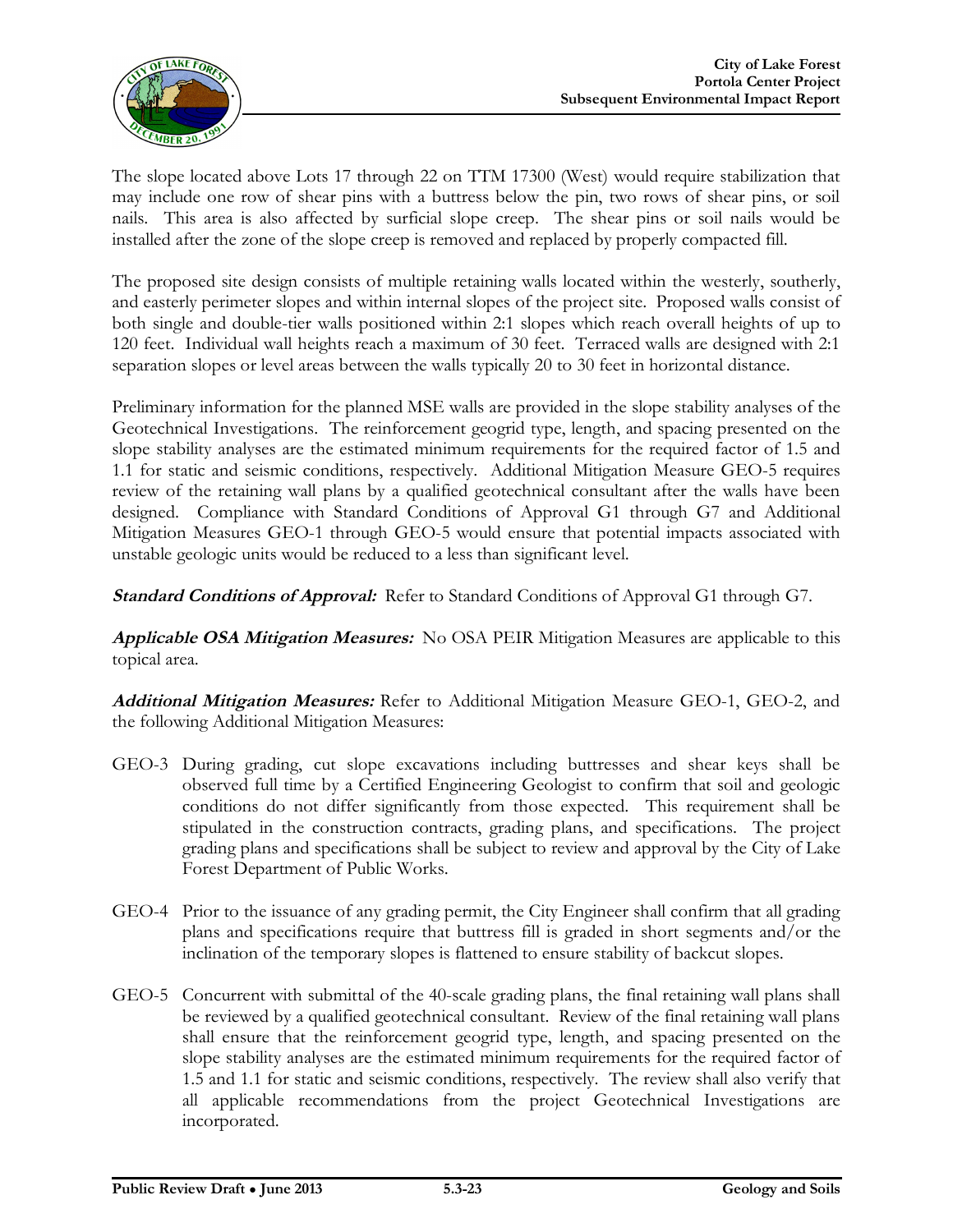

The slope located above Lots 17 through 22 on TTM 17300 (West) would require stabilization that may include one row of shear pins with a buttress below the pin, two rows of shear pins, or soil nails. This area is also affected by surficial slope creep. The shear pins or soil nails would be installed after the zone of the slope creep is removed and replaced by properly compacted fill.

The proposed site design consists of multiple retaining walls located within the westerly, southerly, and easterly perimeter slopes and within internal slopes of the project site. Proposed walls consist of both single and double-tier walls positioned within 2:1 slopes which reach overall heights of up to 120 feet. Individual wall heights reach a maximum of 30 feet. Terraced walls are designed with 2:1 separation slopes or level areas between the walls typically 20 to 30 feet in horizontal distance.

Preliminary information for the planned MSE walls are provided in the slope stability analyses of the Geotechnical Investigations. The reinforcement geogrid type, length, and spacing presented on the slope stability analyses are the estimated minimum requirements for the required factor of 1.5 and 1.1 for static and seismic conditions, respectively. Additional Mitigation Measure GEO-5 requires review of the retaining wall plans by a qualified geotechnical consultant after the walls have been designed. Compliance with Standard Conditions of Approval G1 through G7 and Additional Mitigation Measures GEO-1 through GEO-5 would ensure that potential impacts associated with unstable geologic units would be reduced to a less than significant level.

**Standard Conditions of Approval:** Refer to Standard Conditions of Approval G1 through G7.

**Applicable OSA Mitigation Measures:** No OSA PEIR Mitigation Measures are applicable to this topical area.

**Additional Mitigation Measures:** Refer to Additional Mitigation Measure GEO-1, GEO-2, and the following Additional Mitigation Measures:

- GEO-3 During grading, cut slope excavations including buttresses and shear keys shall be observed full time by a Certified Engineering Geologist to confirm that soil and geologic conditions do not differ significantly from those expected. This requirement shall be stipulated in the construction contracts, grading plans, and specifications. The project grading plans and specifications shall be subject to review and approval by the City of Lake Forest Department of Public Works.
- GEO-4 Prior to the issuance of any grading permit, the City Engineer shall confirm that all grading plans and specifications require that buttress fill is graded in short segments and/or the inclination of the temporary slopes is flattened to ensure stability of backcut slopes.
- GEO-5 Concurrent with submittal of the 40-scale grading plans, the final retaining wall plans shall be reviewed by a qualified geotechnical consultant. Review of the final retaining wall plans shall ensure that the reinforcement geogrid type, length, and spacing presented on the slope stability analyses are the estimated minimum requirements for the required factor of 1.5 and 1.1 for static and seismic conditions, respectively. The review shall also verify that all applicable recommendations from the project Geotechnical Investigations are incorporated.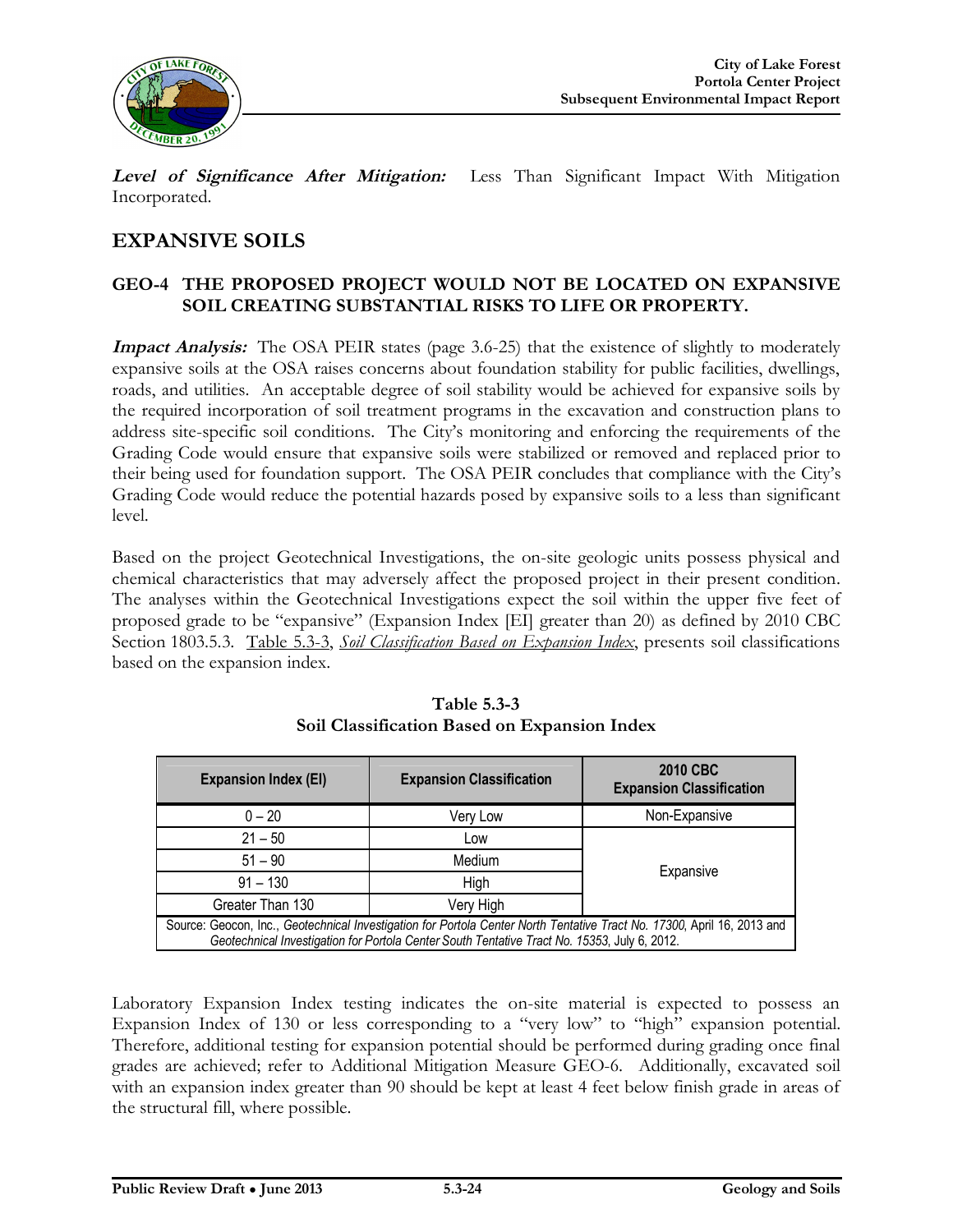

**Level of Significance After Mitigation:** Less Than Significant Impact With Mitigation Incorporated.

#### **EXPANSIVE SOILS**

#### **GEO-4 THE PROPOSED PROJECT WOULD NOT BE LOCATED ON EXPANSIVE SOIL CREATING SUBSTANTIAL RISKS TO LIFE OR PROPERTY.**

**Impact Analysis:** The OSA PEIR states (page 3.6-25) that the existence of slightly to moderately expansive soils at the OSA raises concerns about foundation stability for public facilities, dwellings, roads, and utilities. An acceptable degree of soil stability would be achieved for expansive soils by the required incorporation of soil treatment programs in the excavation and construction plans to address site-specific soil conditions. The City's monitoring and enforcing the requirements of the Grading Code would ensure that expansive soils were stabilized or removed and replaced prior to their being used for foundation support. The OSA PEIR concludes that compliance with the City's Grading Code would reduce the potential hazards posed by expansive soils to a less than significant level.

Based on the project Geotechnical Investigations, the on-site geologic units possess physical and chemical characteristics that may adversely affect the proposed project in their present condition. The analyses within the Geotechnical Investigations expect the soil within the upper five feet of proposed grade to be "expansive" (Expansion Index [EI] greater than 20) as defined by 2010 CBC Section 1803.5.3. Table 5.3-3, *Soil Classification Based on Expansion Index*, presents soil classifications based on the expansion index.

| <b>Expansion Index (EI)</b>                                                                                                                                                                                             | <b>Expansion Classification</b> | 2010 CBC<br><b>Expansion Classification</b> |  |
|-------------------------------------------------------------------------------------------------------------------------------------------------------------------------------------------------------------------------|---------------------------------|---------------------------------------------|--|
| $0 - 20$                                                                                                                                                                                                                | Very Low                        | Non-Expansive                               |  |
| $21 - 50$                                                                                                                                                                                                               | Low                             |                                             |  |
| $51 - 90$                                                                                                                                                                                                               | Medium                          |                                             |  |
| $91 - 130$                                                                                                                                                                                                              | High                            | Expansive                                   |  |
| Greater Than 130                                                                                                                                                                                                        | Very High                       |                                             |  |
| Source: Geocon, Inc., Geotechnical Investigation for Portola Center North Tentative Tract No. 17300, April 16, 2013 and<br>Geotechnical Investigation for Portola Center South Tentative Tract No. 15353, July 6, 2012. |                                 |                                             |  |

| Table 5.3-3                                  |  |
|----------------------------------------------|--|
| Soil Classification Based on Expansion Index |  |

Laboratory Expansion Index testing indicates the on-site material is expected to possess an Expansion Index of 130 or less corresponding to a "very low" to "high" expansion potential. Therefore, additional testing for expansion potential should be performed during grading once final grades are achieved; refer to Additional Mitigation Measure GEO-6. Additionally, excavated soil with an expansion index greater than 90 should be kept at least 4 feet below finish grade in areas of the structural fill, where possible.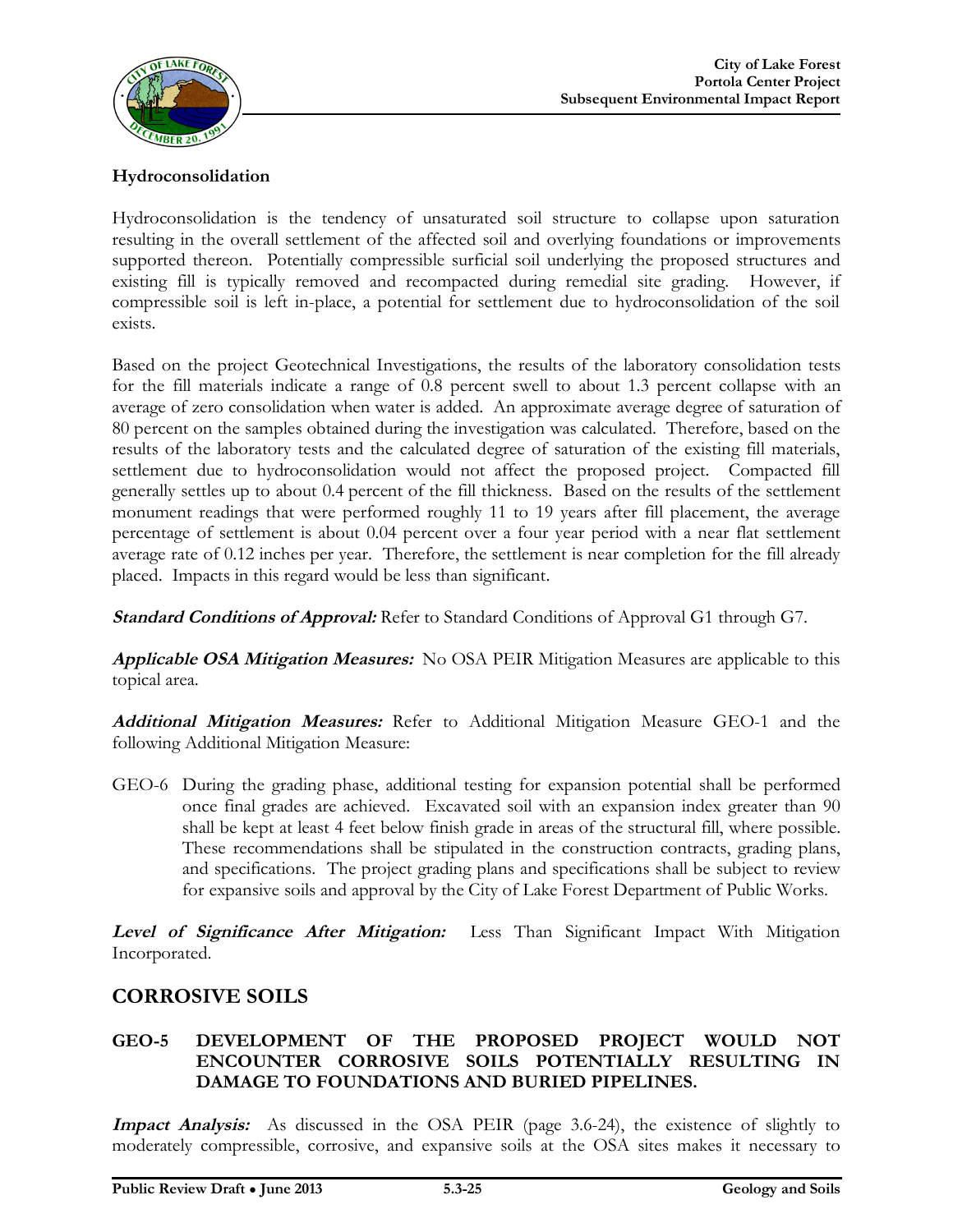

#### **Hydroconsolidation**

Hydroconsolidation is the tendency of unsaturated soil structure to collapse upon saturation resulting in the overall settlement of the affected soil and overlying foundations or improvements supported thereon. Potentially compressible surficial soil underlying the proposed structures and existing fill is typically removed and recompacted during remedial site grading. However, if compressible soil is left in-place, a potential for settlement due to hydroconsolidation of the soil exists.

Based on the project Geotechnical Investigations, the results of the laboratory consolidation tests for the fill materials indicate a range of 0.8 percent swell to about 1.3 percent collapse with an average of zero consolidation when water is added. An approximate average degree of saturation of 80 percent on the samples obtained during the investigation was calculated. Therefore, based on the results of the laboratory tests and the calculated degree of saturation of the existing fill materials, settlement due to hydroconsolidation would not affect the proposed project. Compacted fill generally settles up to about 0.4 percent of the fill thickness. Based on the results of the settlement monument readings that were performed roughly 11 to 19 years after fill placement, the average percentage of settlement is about 0.04 percent over a four year period with a near flat settlement average rate of 0.12 inches per year. Therefore, the settlement is near completion for the fill already placed. Impacts in this regard would be less than significant.

**Standard Conditions of Approval:** Refer to Standard Conditions of Approval G1 through G7.

**Applicable OSA Mitigation Measures:** No OSA PEIR Mitigation Measures are applicable to this topical area.

**Additional Mitigation Measures:** Refer to Additional Mitigation Measure GEO-1 and the following Additional Mitigation Measure:

GEO-6 During the grading phase, additional testing for expansion potential shall be performed once final grades are achieved. Excavated soil with an expansion index greater than 90 shall be kept at least 4 feet below finish grade in areas of the structural fill, where possible. These recommendations shall be stipulated in the construction contracts, grading plans, and specifications. The project grading plans and specifications shall be subject to review for expansive soils and approval by the City of Lake Forest Department of Public Works.

**Level of Significance After Mitigation:** Less Than Significant Impact With Mitigation Incorporated.

#### **CORROSIVE SOILS**

#### **GEO-5 DEVELOPMENT OF THE PROPOSED PROJECT WOULD NOT ENCOUNTER CORROSIVE SOILS POTENTIALLY RESULTING IN DAMAGE TO FOUNDATIONS AND BURIED PIPELINES.**

**Impact Analysis:** As discussed in the OSA PEIR (page 3.6-24), the existence of slightly to moderately compressible, corrosive, and expansive soils at the OSA sites makes it necessary to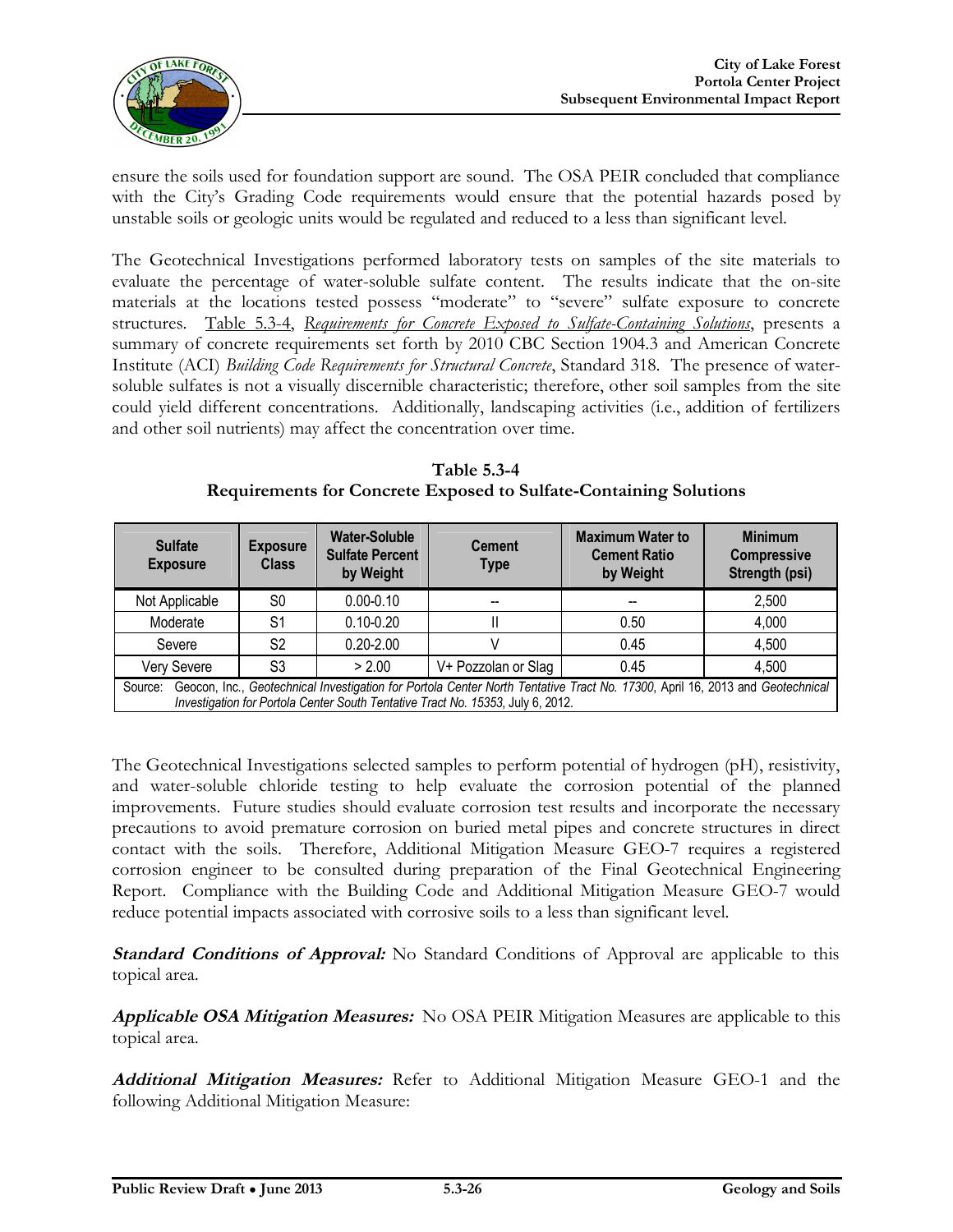

ensure the soils used for foundation support are sound. The OSA PEIR concluded that compliance with the City's Grading Code requirements would ensure that the potential hazards posed by unstable soils or geologic units would be regulated and reduced to a less than significant level.

The Geotechnical Investigations performed laboratory tests on samples of the site materials to evaluate the percentage of water-soluble sulfate content. The results indicate that the on-site materials at the locations tested possess "moderate" to "severe" sulfate exposure to concrete structures. Table 5.3-4, *Requirements for Concrete Exposed to Sulfate-Containing Solutions*, presents a summary of concrete requirements set forth by 2010 CBC Section 1904.3 and American Concrete Institute (ACI) *Building Code Requirements for Structural Concrete*, Standard 318. The presence of watersoluble sulfates is not a visually discernible characteristic; therefore, other soil samples from the site could yield different concentrations. Additionally, landscaping activities (i.e., addition of fertilizers and other soil nutrients) may affect the concentration over time.

| <b>Table 5.3-4</b>                                                |
|-------------------------------------------------------------------|
| Requirements for Concrete Exposed to Sulfate-Containing Solutions |

| <b>Sulfate</b><br><b>Exposure</b>                                                                                                                                                                                          | <b>Exposure</b><br><b>Class</b> | <b>Water-Soluble</b><br><b>Sulfate Percent</b><br>by Weight | <b>Cement</b><br><b>Type</b> | <b>Maximum Water to</b><br><b>Cement Ratio</b><br>by Weight | <b>Minimum</b><br><b>Compressive</b><br>Strength (psi) |
|----------------------------------------------------------------------------------------------------------------------------------------------------------------------------------------------------------------------------|---------------------------------|-------------------------------------------------------------|------------------------------|-------------------------------------------------------------|--------------------------------------------------------|
| Not Applicable                                                                                                                                                                                                             | S <sub>0</sub>                  | $0.00 - 0.10$                                               |                              |                                                             | 2,500                                                  |
| Moderate                                                                                                                                                                                                                   | S1                              | $0.10 - 0.20$                                               |                              | 0.50                                                        | 4,000                                                  |
| Severe                                                                                                                                                                                                                     | S <sub>2</sub>                  | $0.20 - 2.00$                                               |                              | 0.45                                                        | 4,500                                                  |
| Very Severe                                                                                                                                                                                                                | S3                              | > 2.00                                                      | V+ Pozzolan or Slag          | 0.45                                                        | 4,500                                                  |
| Geocon, Inc., Geotechnical Investigation for Portola Center North Tentative Tract No. 17300, April 16, 2013 and Geotechnical<br>Source:<br>Investigation for Portola Center South Tentative Tract No. 15353, July 6, 2012. |                                 |                                                             |                              |                                                             |                                                        |

The Geotechnical Investigations selected samples to perform potential of hydrogen (pH), resistivity, and water-soluble chloride testing to help evaluate the corrosion potential of the planned improvements. Future studies should evaluate corrosion test results and incorporate the necessary precautions to avoid premature corrosion on buried metal pipes and concrete structures in direct contact with the soils. Therefore, Additional Mitigation Measure GEO-7 requires a registered corrosion engineer to be consulted during preparation of the Final Geotechnical Engineering Report. Compliance with the Building Code and Additional Mitigation Measure GEO-7 would reduce potential impacts associated with corrosive soils to a less than significant level.

**Standard Conditions of Approval:** No Standard Conditions of Approval are applicable to this topical area.

**Applicable OSA Mitigation Measures:** No OSA PEIR Mitigation Measures are applicable to this topical area.

**Additional Mitigation Measures:** Refer to Additional Mitigation Measure GEO-1 and the following Additional Mitigation Measure: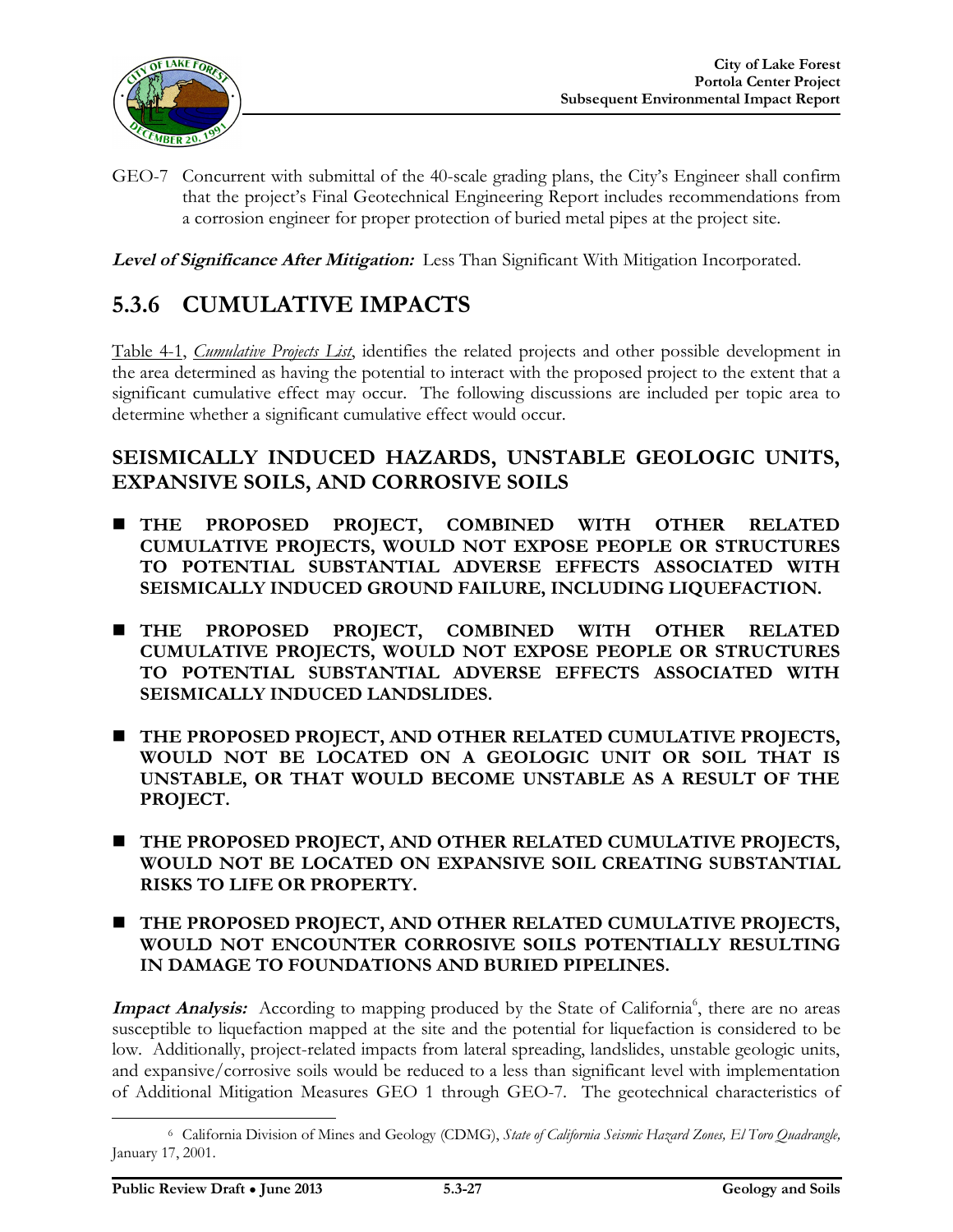

GEO-7 Concurrent with submittal of the 40-scale grading plans, the City's Engineer shall confirm that the project's Final Geotechnical Engineering Report includes recommendations from a corrosion engineer for proper protection of buried metal pipes at the project site.

**Level of Significance After Mitigation:** Less Than Significant With Mitigation Incorporated.

# **5.3.6 CUMULATIVE IMPACTS**

Table 4-1, *Cumulative Projects List*, identifies the related projects and other possible development in the area determined as having the potential to interact with the proposed project to the extent that a significant cumulative effect may occur. The following discussions are included per topic area to determine whether a significant cumulative effect would occur.

#### **SEISMICALLY INDUCED HAZARDS, UNSTABLE GEOLOGIC UNITS, EXPANSIVE SOILS, AND CORROSIVE SOILS**

- **THE PROPOSED PROJECT, COMBINED WITH OTHER RELATED CUMULATIVE PROJECTS, WOULD NOT EXPOSE PEOPLE OR STRUCTURES TO POTENTIAL SUBSTANTIAL ADVERSE EFFECTS ASSOCIATED WITH SEISMICALLY INDUCED GROUND FAILURE, INCLUDING LIQUEFACTION.**
- **THE PROPOSED PROJECT, COMBINED WITH OTHER RELATED CUMULATIVE PROJECTS, WOULD NOT EXPOSE PEOPLE OR STRUCTURES TO POTENTIAL SUBSTANTIAL ADVERSE EFFECTS ASSOCIATED WITH SEISMICALLY INDUCED LANDSLIDES.**
- **THE PROPOSED PROJECT, AND OTHER RELATED CUMULATIVE PROJECTS, WOULD NOT BE LOCATED ON A GEOLOGIC UNIT OR SOIL THAT IS UNSTABLE, OR THAT WOULD BECOME UNSTABLE AS A RESULT OF THE PROJECT.**
- **THE PROPOSED PROJECT, AND OTHER RELATED CUMULATIVE PROJECTS, WOULD NOT BE LOCATED ON EXPANSIVE SOIL CREATING SUBSTANTIAL RISKS TO LIFE OR PROPERTY.**
- **THE PROPOSED PROJECT, AND OTHER RELATED CUMULATIVE PROJECTS, WOULD NOT ENCOUNTER CORROSIVE SOILS POTENTIALLY RESULTING IN DAMAGE TO FOUNDATIONS AND BURIED PIPELINES.**

Impact Analysis: According to mapping produced by the State of California<sup>6</sup>, there are no areas susceptible to liquefaction mapped at the site and the potential for liquefaction is considered to be low. Additionally, project-related impacts from lateral spreading, landslides, unstable geologic units, and expansive/corrosive soils would be reduced to a less than significant level with implementation of Additional Mitigation Measures GEO 1 through GEO-7. The geotechnical characteristics of

 $\overline{a}$ 

<sup>6</sup> California Division of Mines and Geology (CDMG), *State of California Seismic Hazard Zones, El Toro Quadrangle,*  January 17, 2001.